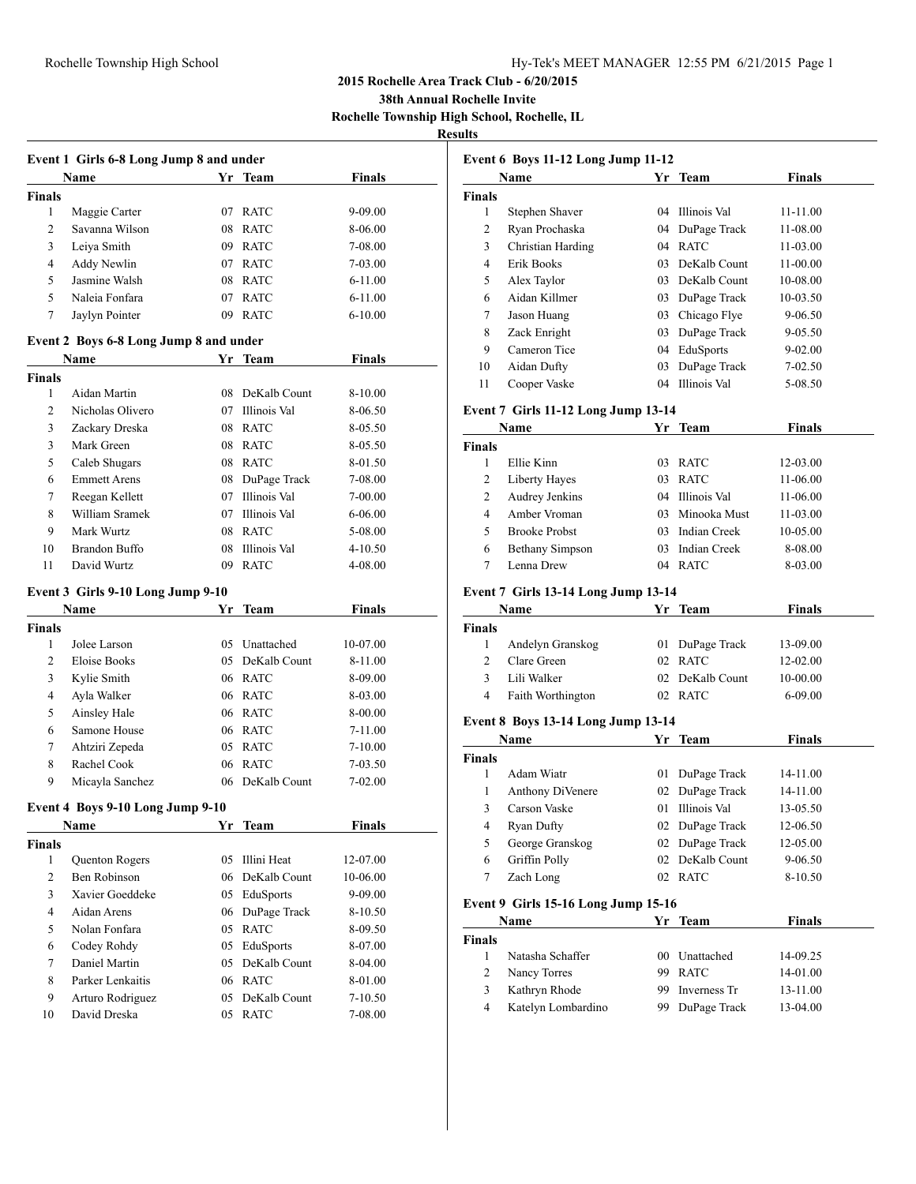## Rochelle Township High School Hy-Tek's MEET MANAGER 12:55 PM 6/21/2015 Page 1

## **2015 Rochelle Area Track Club - 6/20/2015**

**38th Annual Rochelle Invite**

**Rochelle Township High School, Rochelle, IL**

# **Resu**

| Event 1 Girls 6-8 Long Jump 8 and under |                                        |    |                 |               |  |  |  |
|-----------------------------------------|----------------------------------------|----|-----------------|---------------|--|--|--|
|                                         | <b>Name</b>                            |    | Yr Team         | <b>Finals</b> |  |  |  |
| <b>Finals</b>                           |                                        |    |                 |               |  |  |  |
| 1                                       | Maggie Carter                          | 07 | <b>RATC</b>     | 9-09.00       |  |  |  |
| 2                                       | Savanna Wilson                         |    | 08 RATC         | 8-06.00       |  |  |  |
| 3                                       | Leiya Smith                            |    | 09 RATC         | 7-08.00       |  |  |  |
| 4                                       | Addy Newlin                            |    | 07 RATC         | 7-03.00       |  |  |  |
| 5                                       | Jasmine Walsh                          |    | 08 RATC         | $6 - 11.00$   |  |  |  |
| 5                                       | Naleia Fonfara                         | 07 | <b>RATC</b>     | 6-11.00       |  |  |  |
| 7                                       | Jaylyn Pointer                         |    | 09 RATC         | $6 - 10.00$   |  |  |  |
|                                         | Event 2 Boys 6-8 Long Jump 8 and under |    |                 |               |  |  |  |
|                                         | Name                                   |    | Yr Team         | <b>Finals</b> |  |  |  |
| <b>Finals</b>                           |                                        |    |                 |               |  |  |  |
| 1                                       | Aidan Martin                           |    | 08 DeKalb Count | 8-10.00       |  |  |  |
| 2                                       | Nicholas Olivero                       |    | 07 Illinois Val | 8-06.50       |  |  |  |
| 3                                       | Zackary Dreska                         |    | 08 RATC         | 8-05.50       |  |  |  |
| 3                                       | Mark Green                             |    | 08 RATC         | 8-05.50       |  |  |  |
| 5                                       | Caleb Shugars                          |    | 08 RATC         | 8-01.50       |  |  |  |
| 6                                       | <b>Emmett Arens</b>                    | 08 | DuPage Track    | 7-08.00       |  |  |  |
| 7                                       | Reegan Kellett                         | 07 | Illinois Val    | 7-00.00       |  |  |  |
| 8                                       | William Sramek                         |    | 07 Illinois Val | 6-06.00       |  |  |  |
| 9                                       | Mark Wurtz                             |    | 08 RATC         | 5-08.00       |  |  |  |
| 10                                      | <b>Brandon Buffo</b>                   |    | 08 Illinois Val | 4-10.50       |  |  |  |
| 11                                      | David Wurtz                            | 09 | <b>RATC</b>     | 4-08.00       |  |  |  |
|                                         | Event 3 Girls 9-10 Long Jump 9-10      |    |                 |               |  |  |  |
|                                         | Name                                   | Yr | Team            | <b>Finals</b> |  |  |  |
| <b>Finals</b>                           |                                        |    |                 |               |  |  |  |
| 1                                       | Jolee Larson                           |    | 05 Unattached   | 10-07.00      |  |  |  |
| 2                                       | Eloise Books                           |    | 05 DeKalb Count | 8-11.00       |  |  |  |
| 3                                       | Kylie Smith                            |    | 06 RATC         | 8-09.00       |  |  |  |
| 4                                       | Ayla Walker                            |    | 06 RATC         | 8-03.00       |  |  |  |
| 5                                       | Ainsley Hale                           |    | 06 RATC         | 8-00.00       |  |  |  |
| 6                                       | Samone House                           |    | 06 RATC         | 7-11.00       |  |  |  |
| 7                                       | Ahtziri Zepeda                         |    | 05 RATC         | 7-10.00       |  |  |  |
| 8                                       | Rachel Cook                            |    | 06 RATC         | 7-03.50       |  |  |  |
| 9                                       | Micayla Sanchez                        | 06 | DeKalb Count    | 7-02.00       |  |  |  |
| Event 4 Boys 9-10 Long Jump 9-10        |                                        |    |                 |               |  |  |  |
|                                         | <u>Name</u>                            | Yr | <b>Team</b>     | <b>Finals</b> |  |  |  |
| <b>Finals</b>                           |                                        |    |                 |               |  |  |  |
| 1                                       | Quenton Rogers                         | 05 | Illini Heat     | 12-07.00      |  |  |  |
| $\overline{2}$                          | Ben Robinson                           | 06 | DeKalb Count    | 10-06.00      |  |  |  |
| 3                                       | Xavier Goeddeke                        | 05 | EduSports       | 9-09.00       |  |  |  |
| 4                                       | Aidan Arens                            | 06 | DuPage Track    | 8-10.50       |  |  |  |
| 5                                       | Nolan Fonfara                          | 05 | <b>RATC</b>     | 8-09.50       |  |  |  |
| 6                                       | Codey Rohdy                            | 05 | EduSports       | 8-07.00       |  |  |  |
| 7                                       | Daniel Martin                          | 05 | DeKalb Count    | 8-04.00       |  |  |  |
| 8                                       | Parker Lenkaitis                       | 06 | <b>RATC</b>     | 8-01.00       |  |  |  |
| 9                                       | Arturo Rodriguez                       | 05 | DeKalb Count    | 7-10.50       |  |  |  |
| 10                                      | David Dreska                           | 05 | <b>RATC</b>     | 7-08.00       |  |  |  |
|                                         |                                        |    |                 |               |  |  |  |

|                | Event 6 Boys 11-12 Long Jump 11-12                 |          |                                    |                    |
|----------------|----------------------------------------------------|----------|------------------------------------|--------------------|
|                | Name                                               | Yr       | <b>Team</b>                        | <b>Finals</b>      |
| Finals<br>1    | Stephen Shaver                                     | 04       | Illinois Val                       |                    |
| $\overline{c}$ |                                                    |          |                                    | 11-11.00           |
|                | Ryan Prochaska                                     | 04       | DuPage Track                       | 11-08.00           |
| 3              | Christian Harding                                  | 04       | <b>RATC</b>                        | 11-03.00           |
| 4<br>5         | Erik Books                                         | 03       | DeKalb Count                       | 11-00.00           |
| 6              | Alex Taylor<br>Aidan Killmer                       |          | 03 DeKalb Count                    | 10-08.00           |
| 7              |                                                    |          | 03 DuPage Track                    | 10-03.50           |
| 8              | Jason Huang<br>Zack Enright                        |          | 03 Chicago Flye<br>03 DuPage Track | 9-06.50            |
| 9              | Cameron Tice                                       |          | 04 EduSports                       | 9-05.50            |
|                | Aidan Dufty                                        |          | DuPage Track                       | 9-02.00            |
| 10<br>11       | Cooper Vaske                                       | 03<br>04 | Illinois Val                       | 7-02.50<br>5-08.50 |
|                |                                                    |          |                                    |                    |
|                | Event 7 Girls 11-12 Long Jump 13-14<br>Name        |          | Yr Team                            | <b>Finals</b>      |
| Finals         |                                                    |          |                                    |                    |
| 1              | Ellie Kinn                                         | 03       | RATC                               | 12-03.00           |
| $\overline{c}$ | Liberty Hayes                                      | 03       | <b>RATC</b>                        | 11-06.00           |
| 2              | Audrey Jenkins                                     |          | 04 Illinois Val                    | 11-06.00           |
| 4              | Amber Vroman                                       |          | 03 Minooka Must                    | 11-03.00           |
| 5              | <b>Brooke Probst</b>                               |          | 03 Indian Creek                    | 10-05.00           |
| 6              | <b>Bethany Simpson</b>                             | 03       | Indian Creek                       | 8-08.00            |
| 7              | Lenna Drew                                         | 04       | RATC                               | 8-03.00            |
|                | Event 7 Girls 13-14 Long Jump 13-14                |          |                                    |                    |
|                | Name                                               |          | Yr Team                            | Finals             |
| Finals         |                                                    |          |                                    |                    |
| 1              | Andelyn Granskog                                   | 01       | DuPage Track                       | 13-09.00           |
| 2              | Clare Green                                        | 02       | <b>RATC</b>                        | 12-02.00           |
| 3              | Lili Walker                                        | 02       | DeKalb Count                       | 10-00.00           |
| 4              | Faith Worthington                                  | 02       | RATC                               | 6-09.00            |
|                | <b>Event 8 Boys 13-14 Long Jump 13-14</b>          |          |                                    |                    |
|                | Name                                               |          | Yr Team                            | <b>Finals</b>      |
| Finals<br>1    | Adam Wiatr                                         | 01       | DuPage Track                       | 14-11.00           |
| 1              | Anthony DiVenere                                   | 02       | DuPage Track                       | 14-11.00           |
| 3              | Carson Vaske                                       | 01       | Illinois Val                       | 13-05.50           |
| 4              | Ryan Dufty                                         | 02       | DuPage Track                       | 12-06.50           |
| 5              | George Granskog                                    |          | 02 DuPage Track                    | 12-05.00           |
| 6              | Griffin Polly                                      | 02       | DeKalb Count                       | 9-06.50            |
| $\tau$         | Zach Long                                          | 02       | RATC                               | 8-10.50            |
|                |                                                    |          |                                    |                    |
|                | <b>Event 9 Girls 15-16 Long Jump 15-16</b><br>Name |          | Yr Team                            | <b>Finals</b>      |
| Finals         |                                                    |          |                                    |                    |
| 1              | Natasha Schaffer                                   |          | 00 Unattached                      | 14-09.25           |
|                | Nancy Torres                                       | 99       | <b>RATC</b>                        | 14-01.00           |
| $\mathfrak{2}$ |                                                    |          | Inverness Tr                       | 13-11.00           |
| 3              | Kathryn Rhode                                      | 99       |                                    |                    |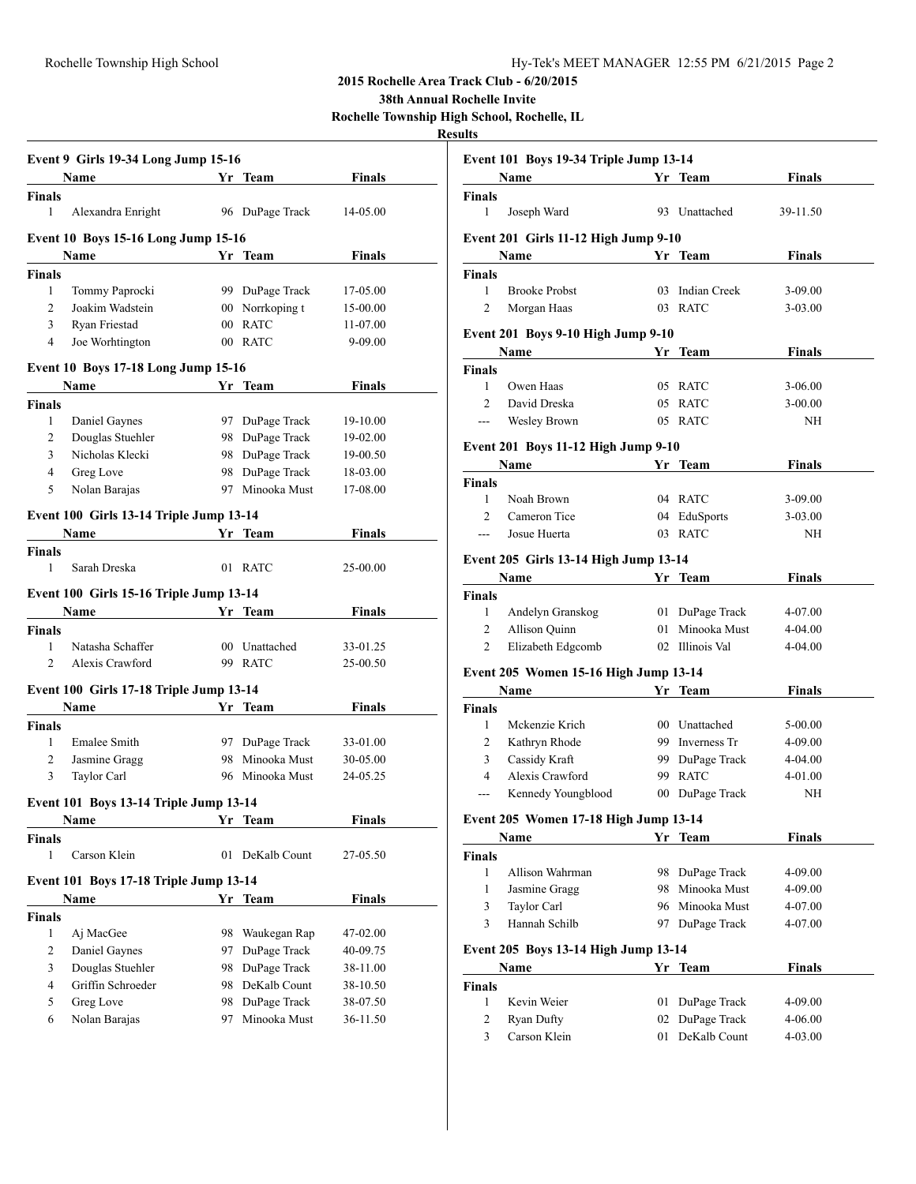**38th Annual Rochelle Invite**

**Rochelle Township High School, Rochelle, IL**

|                    | Event 9 Girls 19-34 Long Jump 15-16        |                 |                              |                      |  |
|--------------------|--------------------------------------------|-----------------|------------------------------|----------------------|--|
|                    | Name                                       |                 | Yr Team                      | <b>Finals</b>        |  |
| <b>Finals</b>      |                                            |                 |                              |                      |  |
| 1                  | Alexandra Enright                          |                 | 96 DuPage Track              | 14-05.00             |  |
|                    | <b>Event 10 Boys 15-16 Long Jump 15-16</b> |                 |                              |                      |  |
|                    | Name                                       |                 | Yr Team                      | Finals               |  |
| <b>Finals</b>      |                                            |                 |                              |                      |  |
| 1                  | Tommy Paprocki                             |                 | 99 DuPage Track              | 17-05.00             |  |
| 2                  | Joakim Wadstein                            | 00 <sup>1</sup> | Norrkoping t                 | 15-00.00             |  |
| 3                  | Ryan Friestad                              | $00\,$          | <b>RATC</b>                  | 11-07.00             |  |
| 4                  | Joe Worhtington                            |                 | 00 RATC                      | 9-09.00              |  |
|                    | <b>Event 10 Boys 17-18 Long Jump 15-16</b> |                 |                              |                      |  |
|                    | Name                                       |                 | Yr Team                      | <b>Finals</b>        |  |
| <b>Finals</b>      |                                            |                 |                              |                      |  |
| 1                  | Daniel Gaynes                              |                 | 97 DuPage Track              | 19-10.00             |  |
| 2                  | Douglas Stuehler                           |                 | 98 DuPage Track              | 19-02.00             |  |
| 3                  | Nicholas Klecki                            | 98              | DuPage Track                 | 19-00.50             |  |
| 4                  | Greg Love                                  | 98              | DuPage Track                 | 18-03.00             |  |
| 5                  | Nolan Barajas                              | 97              | Minooka Must                 | 17-08.00             |  |
|                    | Event 100 Girls 13-14 Triple Jump 13-14    |                 |                              |                      |  |
|                    | <b>Name</b>                                |                 | Yr Team                      | <b>Finals</b>        |  |
| <b>Finals</b>      |                                            |                 |                              |                      |  |
| 1                  | Sarah Dreska                               | 01              | <b>RATC</b>                  | 25-00.00             |  |
|                    | Event 100 Girls 15-16 Triple Jump 13-14    |                 |                              |                      |  |
|                    |                                            |                 | Yr Team                      | <b>Finals</b>        |  |
|                    | <b>Name</b>                                |                 |                              |                      |  |
|                    |                                            |                 |                              |                      |  |
| <b>Finals</b><br>1 | Natasha Schaffer                           |                 | 00 Unattached                |                      |  |
| 2                  | Alexis Crawford                            |                 | 99 RATC                      | 33-01.25<br>25-00.50 |  |
|                    |                                            |                 |                              |                      |  |
|                    | Event 100 Girls 17-18 Triple Jump 13-14    |                 |                              |                      |  |
|                    | Name                                       |                 | Yr Team                      | <b>Finals</b>        |  |
| <b>Finals</b>      |                                            |                 |                              |                      |  |
| 1                  | <b>Emalee Smith</b>                        |                 | 97 DuPage Track              | 33-01.00             |  |
| $\overline{2}$     | Jasmine Gragg                              | 98              | Minooka Must                 | 30-05.00             |  |
| 3                  | Taylor Carl                                |                 | 96 Minooka Must              | 24-05.25             |  |
|                    | Event 101 Boys 13-14 Triple Jump 13-14     |                 |                              |                      |  |
|                    | Name Yr Team                               |                 |                              | Finals               |  |
| <b>Finals</b>      |                                            |                 |                              |                      |  |
| 1                  | Carson Klein                               | 01              | DeKalb Count                 | 27-05.50             |  |
|                    | Event 101 Boys 17-18 Triple Jump 13-14     |                 |                              |                      |  |
|                    | Name                                       |                 | Yr Team                      | <b>Finals</b>        |  |
| <b>Finals</b>      |                                            |                 |                              |                      |  |
| 1                  | Aj MacGee                                  | 98              | Waukegan Rap                 | 47-02.00             |  |
| 2                  | Daniel Gaynes                              | 97              | DuPage Track                 | 40-09.75             |  |
| 3                  | Douglas Stuehler                           | 98              | DuPage Track                 | 38-11.00             |  |
| 4                  | Griffin Schroeder                          | 98              | DeKalb Count                 | 38-10.50             |  |
| 5<br>6             | Greg Love<br>Nolan Barajas                 | 98<br>97        | DuPage Track<br>Minooka Must | 38-07.50<br>36-11.50 |  |

|                | Event 101 Boys 19-34 Triple Jump 13-14       |    |                 |               |
|----------------|----------------------------------------------|----|-----------------|---------------|
|                | Name<br><b>Solution Start Transfer Team</b>  |    |                 | <b>Finals</b> |
| Finals         |                                              |    |                 |               |
| 1              | Joseph Ward                                  |    | 93 Unattached   | 39-11.50      |
|                | Event 201 Girls 11-12 High Jump 9-10         |    |                 |               |
|                | Name                                         |    | Yr Team         | Finals        |
| Finals         |                                              |    |                 |               |
| 1              | <b>Brooke Probst</b>                         |    | 03 Indian Creek | 3-09.00       |
| $\overline{c}$ | Morgan Haas                                  |    | 03 RATC         | $3 - 03.00$   |
|                | Event 201 Boys 9-10 High Jump 9-10           |    |                 |               |
|                | Name                                         |    | Yr Team         | <b>Finals</b> |
| Finals         |                                              |    |                 |               |
| $\mathbf{1}$   | Owen Haas                                    |    | 05 RATC         | $3-06.00$     |
| $\overline{c}$ | David Dreska                                 |    | 05 RATC         | $3 - 00.00$   |
| $---$          | Wesley Brown                                 |    | 05 RATC         | NH            |
|                |                                              |    |                 |               |
|                | <b>Event 201 Boys 11-12 High Jump 9-10</b>   |    |                 |               |
|                | Name                                         |    | Yr Team         | <b>Finals</b> |
| Finals         |                                              |    |                 |               |
| 1              | Noah Brown                                   |    | 04 RATC         | $3-09.00$     |
| $\overline{c}$ | Cameron Tice                                 |    | 04 EduSports    | $3 - 03.00$   |
| ---            | Josue Huerta                                 |    | 03 RATC         | NH            |
|                | <b>Event 205 Girls 13-14 High Jump 13-14</b> |    |                 |               |
|                | Name                                         |    | Yr Team         | <b>Finals</b> |
| Finals         |                                              |    |                 |               |
| 1              | Andelyn Granskog                             |    | 01 DuPage Track | 4-07.00       |
| 2              | Allison Quinn                                |    | 01 Minooka Must | 4-04.00       |
| 2              | Elizabeth Edgcomb                            | 02 | Illinois Val    | $4 - 04.00$   |
|                |                                              |    |                 |               |
|                | Event 205 Women 15-16 High Jump 13-14        |    |                 |               |
|                | Name                                         |    | Yr Team         | <b>Finals</b> |
| Finals         |                                              |    |                 |               |
| 1              | Mckenzie Krich                               |    | 00 Unattached   | 5-00.00       |
| 2              | Kathryn Rhode                                |    | 99 Inverness Tr | 4-09.00       |
| 3              | Cassidy Kraft                                |    | 99 DuPage Track | 4-04.00       |
| $\overline{4}$ | Alexis Crawford                              |    | 99 RATC         | 4-01.00       |
| $---$          | Kennedy Youngblood                           |    | 00 DuPage Track | NH            |
|                | Event 205 Women 17-18 High Jump 13-14        |    |                 |               |
|                | Name                                         |    | Yr Team         | Finals        |
| Finals         |                                              |    |                 |               |
| 1              | Allison Wahrman                              |    | 98 DuPage Track | 4-09.00       |
| 1              | Jasmine Gragg                                |    | 98 Minooka Must | 4-09.00       |
| 3              | Taylor Carl                                  |    | 96 Minooka Must | 4-07.00       |
| 3              | Hannah Schilb                                |    | 97 DuPage Track | 4-07.00       |
|                |                                              |    |                 |               |
|                | Event 205 Boys 13-14 High Jump 13-14         |    |                 |               |
|                | <b>Name</b>                                  |    | Yr Team         | <b>Finals</b> |
| Finals         |                                              |    |                 |               |
| $\mathbf{1}$   | Kevin Weier                                  | 01 | DuPage Track    | 4-09.00       |
| $\overline{c}$ | Ryan Dufty                                   | 02 | DuPage Track    | 4-06.00       |
| 3              | Carson Klein                                 | 01 | DeKalb Count    | 4-03.00       |
|                |                                              |    |                 |               |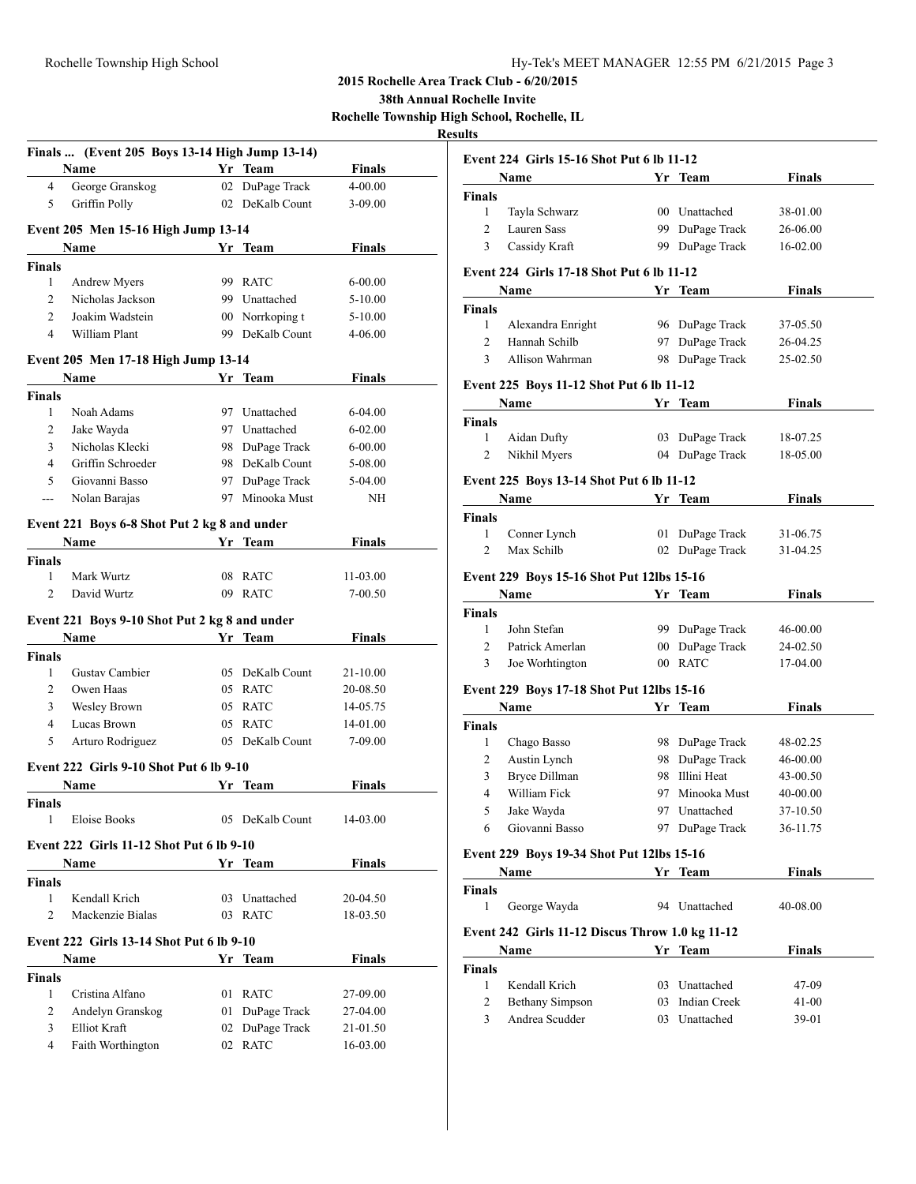|                    | Finals  (Event 205 Boys 13-14 High Jump 13-14)          |    |                 |               |
|--------------------|---------------------------------------------------------|----|-----------------|---------------|
|                    | Name                                                    |    | Yr Team         | <b>Finals</b> |
| $\overline{4}$     | George Granskog                                         |    | 02 DuPage Track | 4-00.00       |
| 5                  | Griffin Polly                                           |    | 02 DeKalb Count | $3 - 09.00$   |
|                    | Event 205 Men 15-16 High Jump 13-14                     |    |                 |               |
|                    | Name                                                    |    | Yr Team         | Finals        |
| <b>Finals</b>      |                                                         |    |                 |               |
| 1                  | Andrew Myers                                            |    | 99 RATC         | $6 - 00.00$   |
| 2                  | Nicholas Jackson                                        |    | 99 Unattached   | 5-10.00       |
| $\overline{c}$     | Joakim Wadstein                                         |    | 00 Norrkoping t | 5-10.00       |
| 4                  | William Plant                                           |    | 99 DeKalb Count | 4-06.00       |
|                    | Event 205 Men 17-18 High Jump 13-14                     |    |                 |               |
|                    | Name                                                    |    | Yr Team         | <b>Finals</b> |
| <b>Finals</b>      |                                                         |    |                 |               |
| 1                  | Noah Adams                                              |    | 97 Unattached   | 6-04.00       |
| 2                  | Jake Wayda                                              |    | 97 Unattached   | $6 - 02.00$   |
| 3                  | Nicholas Klecki                                         |    | 98 DuPage Track | $6 - 00.00$   |
| $\overline{4}$     | Griffin Schroeder                                       |    | 98 DeKalb Count | 5-08.00       |
| 5                  | Giovanni Basso                                          |    | 97 DuPage Track | 5-04.00       |
| ---                | Nolan Barajas                                           |    | 97 Minooka Must | NH            |
|                    | Event 221 Boys 6-8 Shot Put 2 kg 8 and under            |    |                 |               |
|                    | Name                                                    |    | Yr Team         | <b>Finals</b> |
| <b>Finals</b>      |                                                         |    |                 |               |
| 1                  | Mark Wurtz                                              | 08 | <b>RATC</b>     | 11-03.00      |
| 2                  | David Wurtz                                             | 09 | <b>RATC</b>     | 7-00.50       |
|                    |                                                         |    |                 |               |
|                    | Event 221 Boys 9-10 Shot Put 2 kg 8 and under           |    |                 |               |
|                    | Name                                                    |    | Yr Team         | <b>Finals</b> |
| <b>Finals</b>      |                                                         |    |                 |               |
| 1                  | Gustav Cambier                                          |    | 05 DeKalb Count | 21-10.00      |
| 2                  | Owen Haas                                               |    | 05 RATC         | 20-08.50      |
| 3                  | Wesley Brown                                            |    | 05 RATC         | 14-05.75      |
| $\overline{4}$     | Lucas Brown                                             |    | 05 RATC         | 14-01.00      |
| 5                  | Arturo Rodriguez                                        |    | 05 DeKalb Count | 7-09.00       |
|                    | <b>Event 222 Girls 9-10 Shot Put 6 lb 9-10</b>          |    |                 |               |
|                    | Name                                                    |    | Yr Team         | Finals        |
| <b>Finals</b>      |                                                         |    |                 |               |
| 1                  | <b>Eloise Books</b>                                     |    | 05 DeKalb Count | 14-03.00      |
|                    | <b>Event 222 Girls 11-12 Shot Put 6 lb 9-10</b>         |    |                 |               |
|                    | Name                                                    |    | Yr Team         | <b>Finals</b> |
| <b>Finals</b>      |                                                         |    |                 |               |
| 1                  | Kendall Krich                                           |    | 03 Unattached   | 20-04.50      |
| $\overline{c}$     | Mackenzie Bialas                                        |    | 03 RATC         | 18-03.50      |
|                    |                                                         |    |                 |               |
|                    | <b>Event 222 Girls 13-14 Shot Put 6 lb 9-10</b><br>Name |    | Yr Team         | <b>Finals</b> |
|                    |                                                         |    |                 |               |
| <b>Finals</b><br>1 | Cristina Alfano                                         |    | 01 RATC         | 27-09.00      |
|                    |                                                         |    |                 |               |
| 2                  | Andelyn Granskog                                        | 01 | DuPage Track    | 27-04.00      |
| 3                  | Elliot Kraft                                            |    | 02 DuPage Track | 21-01.50      |
| 4                  | Faith Worthington                                       |    | 02 RATC         | 16-03.00      |

| Event 224 Girls 15-16 Shot Put 6 lb 11-12 |                                                  |     |                 |               |  |  |
|-------------------------------------------|--------------------------------------------------|-----|-----------------|---------------|--|--|
|                                           | Name                                             |     | Yr Team         | Finals        |  |  |
| <b>Finals</b>                             |                                                  |     |                 |               |  |  |
| $\mathbf{1}$                              | Tayla Schwarz                                    |     | 00 Unattached   | 38-01.00      |  |  |
| 2                                         | Lauren Sass                                      |     | 99 DuPage Track | 26-06.00      |  |  |
| 3                                         | Cassidy Kraft                                    | 99. | DuPage Track    | 16-02.00      |  |  |
|                                           | <b>Event 224 Girls 17-18 Shot Put 6 lb 11-12</b> |     |                 |               |  |  |
|                                           | Name                                             |     | Yr Team         | Finals        |  |  |
| <b>Finals</b>                             |                                                  |     |                 |               |  |  |
| 1                                         | Alexandra Enright                                |     | 96 DuPage Track | 37-05.50      |  |  |
| 2                                         | Hannah Schilb                                    |     | 97 DuPage Track | 26-04.25      |  |  |
| 3                                         | Allison Wahrman                                  |     | 98 DuPage Track | 25-02.50      |  |  |
|                                           | Event 225 Boys 11-12 Shot Put 6 lb 11-12         |     |                 |               |  |  |
|                                           | Name                                             |     | Yr Team         | Finals        |  |  |
| <b>Finals</b>                             |                                                  |     |                 |               |  |  |
| $\mathbf{1}$                              | Aidan Dufty                                      |     | 03 DuPage Track | 18-07.25      |  |  |
| 2                                         | Nikhil Myers                                     |     | 04 DuPage Track | 18-05.00      |  |  |
| Event 225 Boys 13-14 Shot Put 6 lb 11-12  |                                                  |     |                 |               |  |  |
|                                           | Name                                             |     | Yr Team         | <b>Finals</b> |  |  |
| Finals                                    |                                                  |     |                 |               |  |  |
| 1                                         | Conner Lynch                                     | 01  | DuPage Track    | 31-06.75      |  |  |
| 2                                         | Max Schilb                                       | 02  | DuPage Track    | 31-04.25      |  |  |
|                                           | Event 229 Boys 15-16 Shot Put 12lbs 15-16        |     |                 |               |  |  |
|                                           | Name                                             |     | Yr Team         | Finals        |  |  |
| Finals                                    |                                                  |     |                 |               |  |  |
| 1                                         | John Stefan                                      |     | 99 DuPage Track | 46-00.00      |  |  |
| 2                                         | Patrick Amerlan                                  |     | 00 DuPage Track | 24-02.50      |  |  |
| 3                                         | Joe Worhtington                                  |     | 00 RATC         | 17-04.00      |  |  |
|                                           | Event 229 Boys 17-18 Shot Put 12lbs 15-16        |     |                 |               |  |  |
|                                           | Name                                             |     | Yr Team         | Finals        |  |  |
| Finals                                    |                                                  |     |                 |               |  |  |
| 1                                         | Chago Basso                                      |     | 98 DuPage Track | 48-02.25      |  |  |
| 2                                         | Austin Lynch                                     |     | 98 DuPage Track | 46-00.00      |  |  |
| 3                                         | <b>Bryce Dillman</b>                             |     | 98 Illini Heat  | 43-00.50      |  |  |
| 4                                         | William Fick                                     | 97  | Minooka Must    | 40-00.00      |  |  |
| 5                                         | Jake Wayda                                       |     | 97 Unattached   | 37-10.50      |  |  |
| 6                                         | Giovanni Basso                                   |     | 97 DuPage Track | 36-11.75      |  |  |
|                                           | Event 229 Boys 19-34 Shot Put 12lbs 15-16        |     |                 |               |  |  |
|                                           | Name                                             |     | Yr Team         | <b>Finals</b> |  |  |
| <b>Finals</b>                             |                                                  |     |                 |               |  |  |
| 1                                         | George Wayda                                     |     | 94 Unattached   | 40-08.00      |  |  |
|                                           | Event 242 Girls 11-12 Discus Throw 1.0 kg 11-12  |     |                 |               |  |  |
|                                           |                                                  |     |                 |               |  |  |
|                                           | Name                                             |     | Yr Team         | <b>Finals</b> |  |  |
|                                           |                                                  |     |                 |               |  |  |
| <b>Finals</b><br>$\mathbf{1}$             | Kendall Krich                                    |     | 03 Unattached   | 47-09         |  |  |
| 2                                         | <b>Bethany Simpson</b>                           |     | 03 Indian Creek | 41-00         |  |  |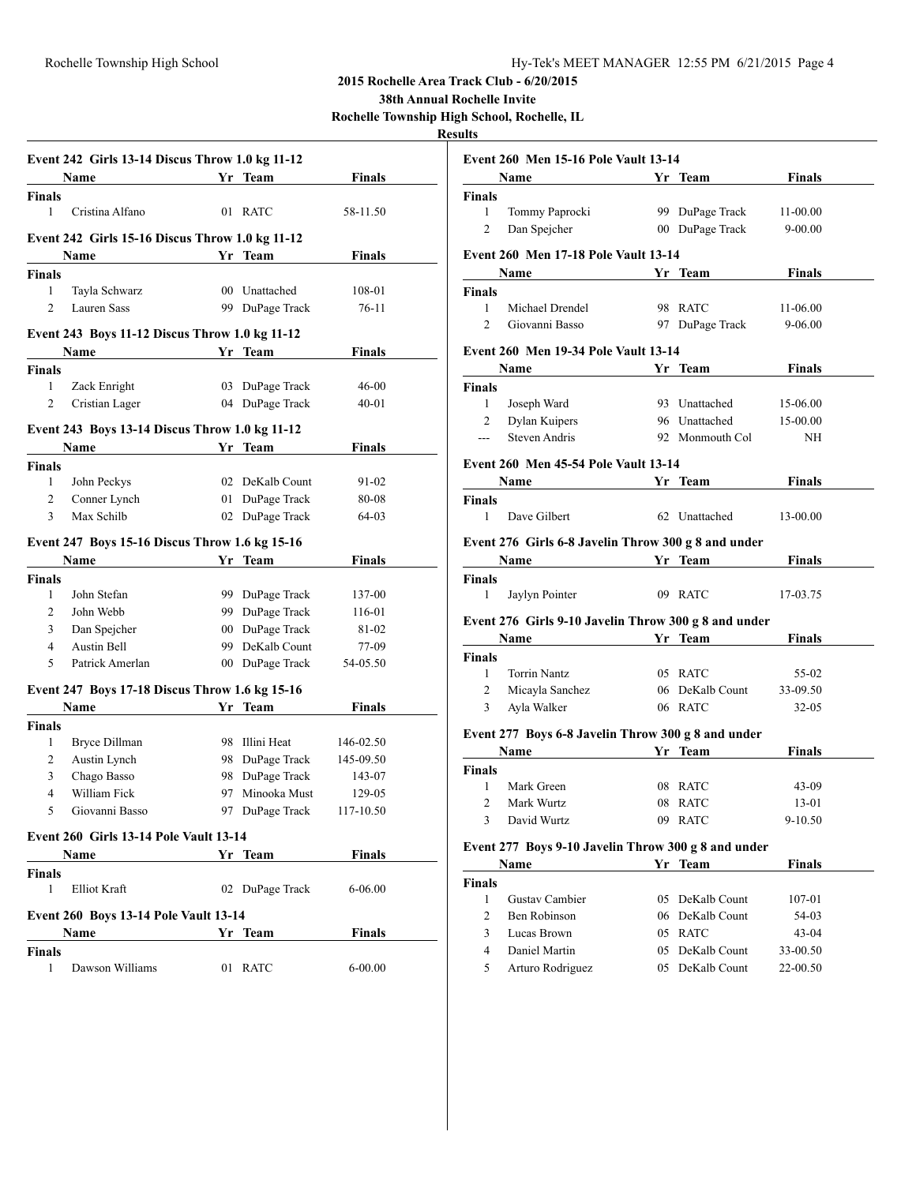**38th Annual Rochelle Invite**

**Rochelle Township High School, Rochelle, IL**

## **Results**

|                    | Event 242 Girls 13-14 Discus Throw 1.0 kg 11-12<br><b>Name</b> |     | Yr Team         | Finals        |
|--------------------|----------------------------------------------------------------|-----|-----------------|---------------|
| <b>Finals</b>      |                                                                |     |                 |               |
| 1                  | Cristina Alfano                                                |     | 01 RATC         | 58-11.50      |
|                    | Event 242 Girls 15-16 Discus Throw 1.0 kg 11-12                |     |                 |               |
|                    | <b>Name</b>                                                    |     | Yr Team         | <b>Finals</b> |
| <b>Finals</b>      |                                                                |     |                 |               |
| 1                  | Tayla Schwarz                                                  |     | 00 Unattached   | 108-01        |
| 2                  | <b>Lauren Sass</b>                                             |     | 99 DuPage Track | 76-11         |
|                    | Event 243 Boys 11-12 Discus Throw 1.0 kg 11-12                 |     |                 |               |
|                    | Name                                                           |     | Yr Team         | Finals        |
| Finals             |                                                                |     |                 |               |
| 1                  | Zack Enright                                                   |     | 03 DuPage Track | 46-00         |
| 2                  | Cristian Lager                                                 |     | 04 DuPage Track | $40 - 01$     |
|                    | Event 243 Boys 13-14 Discus Throw 1.0 kg 11-12                 |     |                 |               |
|                    | <b>Name</b>                                                    |     | Yr Team         | <b>Finals</b> |
| <b>Finals</b>      |                                                                |     |                 |               |
| 1                  | John Peckys                                                    |     | 02 DeKalb Count | 91-02         |
| 2                  | Conner Lynch                                                   | 01  | DuPage Track    | 80-08         |
| 3                  | Max Schilb                                                     | 02  | DuPage Track    | 64-03         |
|                    | Event 247 Boys 15-16 Discus Throw 1.6 kg 15-16                 |     |                 |               |
|                    | Name                                                           |     | Yr Team         | Finals        |
| Finals             |                                                                |     |                 |               |
| 1                  | John Stefan                                                    |     | 99 DuPage Track | 137-00        |
| 2                  | John Webb                                                      |     | 99 DuPage Track | 116-01        |
| 3                  | Dan Spejcher                                                   |     | 00 DuPage Track | 81-02         |
| $\overline{4}$     | <b>Austin Bell</b>                                             |     | 99 DeKalb Count | 77-09         |
| 5                  | Patrick Amerlan                                                |     | 00 DuPage Track | 54-05.50      |
|                    | Event 247 Boys 17-18 Discus Throw 1.6 kg 15-16                 |     |                 |               |
|                    | Name                                                           |     | Yr Team         | <b>Finals</b> |
| <b>Finals</b>      |                                                                |     |                 |               |
| 1                  | Bryce Dillman                                                  |     | 98 Illini Heat  | 146-02.50     |
| 2                  | Austin Lynch                                                   | 98. | DuPage Track    | 145-09.50     |
| 3                  | Chago Basso                                                    | 98  | DuPage Track    | 143-07        |
| 4                  | William Fick                                                   | 97  | Minooka Must    | 129-05        |
| 5                  | Giovanni Basso                                                 |     | 97 DuPage Track | 117-10.50     |
|                    | <b>Event 260 Girls 13-14 Pole Vault 13-14</b>                  |     |                 |               |
|                    | Name                                                           |     | Yr Team         | Finals        |
| <b>Finals</b>      |                                                                |     |                 |               |
| 1                  | Elliot Kraft                                                   |     | 02 DuPage Track | $6 - 06.00$   |
|                    | Event 260 Boys 13-14 Pole Vault 13-14                          |     |                 |               |
|                    | Name                                                           |     | Yr Team         | Finals        |
| <b>Finals</b><br>1 | Dawson Williams                                                |     | 01 RATC         | $6 - 00.00$   |
|                    |                                                                |     |                 |               |

|                    | Event 260 Men 15-16 Pole Vault 13-14                                                                                                                                                                                                        |                                                     |               |
|--------------------|---------------------------------------------------------------------------------------------------------------------------------------------------------------------------------------------------------------------------------------------|-----------------------------------------------------|---------------|
|                    | Name Yr Team                                                                                                                                                                                                                                |                                                     | Finals        |
| <b>Finals</b>      |                                                                                                                                                                                                                                             |                                                     |               |
| 1                  | Tommy Paprocki                                                                                                                                                                                                                              | 99 DuPage Track                                     | $11 - 00.00$  |
| 2                  | Dan Spejcher                                                                                                                                                                                                                                | 00 DuPage Track                                     | $9 - 00.00$   |
|                    | <b>Event 260 Men 17-18 Pole Vault 13-14</b>                                                                                                                                                                                                 |                                                     |               |
|                    | <b>Name</b>                                                                                                                                                                                                                                 | Yr Team                                             | <b>Finals</b> |
| <b>Finals</b>      |                                                                                                                                                                                                                                             |                                                     |               |
| 1                  | Michael Drendel                                                                                                                                                                                                                             | 98 RATC                                             | 11-06.00      |
| 2                  | Giovanni Basso                                                                                                                                                                                                                              | 97 DuPage Track                                     | $9 - 06.00$   |
|                    | <b>Event 260 Men 19-34 Pole Vault 13-14</b>                                                                                                                                                                                                 |                                                     |               |
|                    | Name                                                                                                                                                                                                                                        | Yr Team                                             | Finals        |
| <b>Finals</b>      |                                                                                                                                                                                                                                             |                                                     |               |
| 1                  | Joseph Ward                                                                                                                                                                                                                                 | 93 Unattached                                       | 15-06.00      |
| 2                  | Dylan Kuipers                                                                                                                                                                                                                               | 96 Unattached                                       | 15-00.00      |
| ---                | <b>Steven Andris</b>                                                                                                                                                                                                                        | 92 Monmouth Col                                     | NH            |
|                    | <b>Event 260 Men 45-54 Pole Vault 13-14</b>                                                                                                                                                                                                 |                                                     |               |
|                    | Name<br><b>Solution</b> Section 1 and Section 1 and Section 1 and 2 and 2 and 2 and 2 and 2 and 2 and 2 and 2 and 2 and 2 and 2 and 2 and 2 and 2 and 2 and 2 and 2 and 2 and 2 and 2 and 2 and 2 and 2 and 2 and 2 and 2 and 2 and 2 and 2 |                                                     | <b>Finals</b> |
| <b>Finals</b>      |                                                                                                                                                                                                                                             |                                                     |               |
| $\mathbf{1}$       | Dave Gilbert                                                                                                                                                                                                                                | 62 Unattached                                       | 13-00.00      |
|                    | Event 276 Girls 6-8 Javelin Throw 300 g 8 and under                                                                                                                                                                                         |                                                     |               |
|                    | Name Yr Team                                                                                                                                                                                                                                |                                                     | <b>Finals</b> |
| Finals             |                                                                                                                                                                                                                                             |                                                     |               |
| 1                  | Jaylyn Pointer                                                                                                                                                                                                                              | 09 RATC                                             | 17-03.75      |
|                    | Event 276 Girls 9-10 Javelin Throw 300 g 8 and under                                                                                                                                                                                        |                                                     |               |
|                    | Name                                                                                                                                                                                                                                        | Yr Team                                             | <b>Finals</b> |
| <b>Finals</b>      |                                                                                                                                                                                                                                             |                                                     |               |
| 1                  | <b>Torrin Nantz</b>                                                                                                                                                                                                                         | 05 RATC                                             | 55-02         |
| 2                  | Micayla Sanchez                                                                                                                                                                                                                             | 06 DeKalb Count                                     | 33-09.50      |
| 3                  | Ayla Walker                                                                                                                                                                                                                                 | 06 RATC                                             | $32 - 05$     |
|                    | Event 277 Boys 6-8 Javelin Throw 300 g 8 and under                                                                                                                                                                                          |                                                     |               |
|                    | <b>Name</b>                                                                                                                                                                                                                                 | <b>Solution Start Tream</b>                         | <b>Finals</b> |
| <b>Finals</b>      |                                                                                                                                                                                                                                             |                                                     |               |
| 1                  | Mark Green                                                                                                                                                                                                                                  | 08 RATC                                             | 43-09         |
|                    | 2 Mark Wurtz                                                                                                                                                                                                                                | 08 RATC                                             | 13-01         |
| 3                  | David Wurtz                                                                                                                                                                                                                                 | 09 RATC                                             | 9-10.50       |
|                    |                                                                                                                                                                                                                                             | Event 277 Boys 9-10 Javelin Throw 300 g 8 and under |               |
|                    |                                                                                                                                                                                                                                             |                                                     |               |
|                    | Name                                                                                                                                                                                                                                        | Yr Team                                             | <b>Finals</b> |
|                    |                                                                                                                                                                                                                                             |                                                     |               |
| <b>Finals</b><br>1 | Gustav Cambier                                                                                                                                                                                                                              | 05 DeKalb Count                                     | 107-01        |
| 2                  | Ben Robinson                                                                                                                                                                                                                                | 06 DeKalb Count                                     | 54-03         |
| 3<br>4             | Lucas Brown<br>Daniel Martin                                                                                                                                                                                                                | 05 RATC<br>05 DeKalb Count                          | 43-04         |

5 Arturo Rodriguez 05 DeKalb Count 22-00.50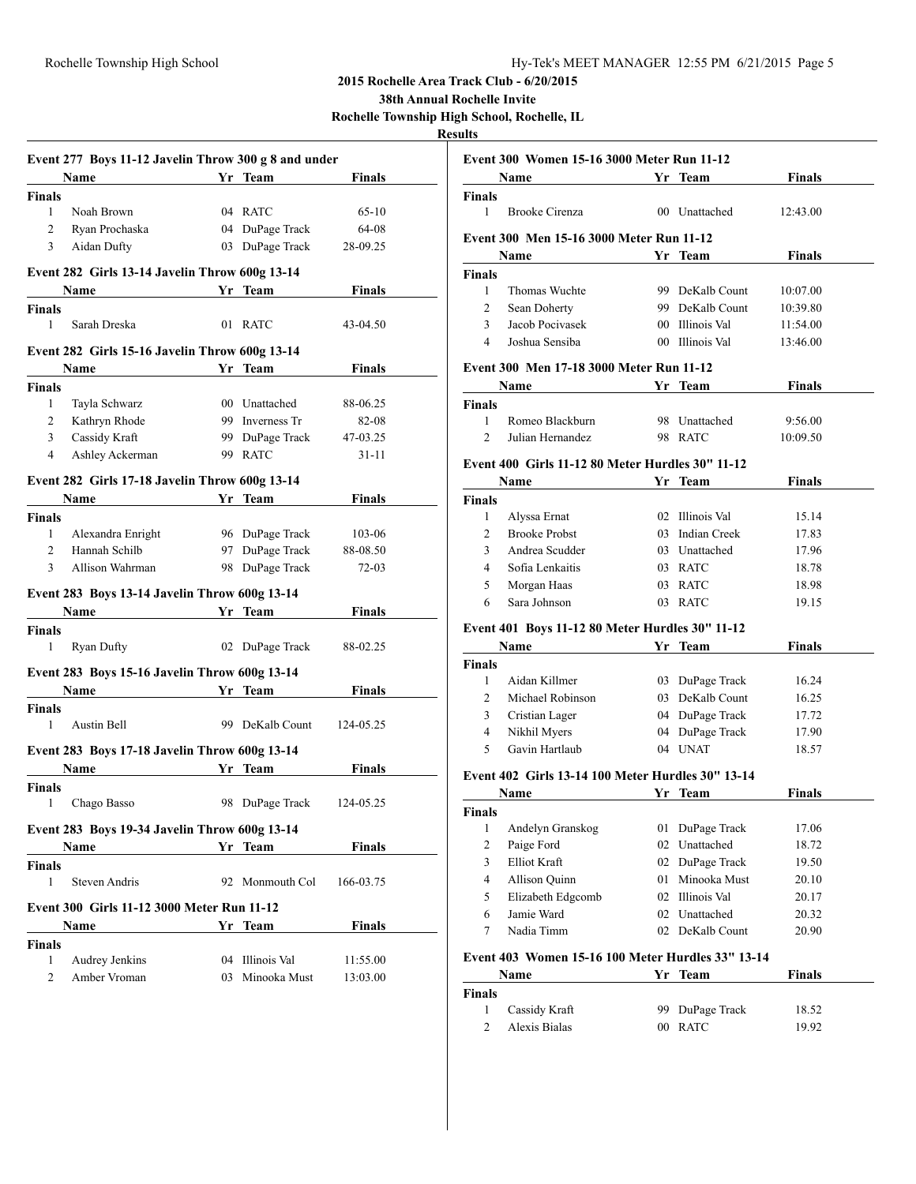**38th Annual Rochelle Invite**

**Rochelle Township High School, Rochelle, IL**

|                    | Event 277 Boys 11-12 Javelin Throw 300 g 8 and under  |    |                 |               |
|--------------------|-------------------------------------------------------|----|-----------------|---------------|
|                    |                                                       |    | Yr Team         | <b>Finals</b> |
| <b>Finals</b>      |                                                       |    |                 |               |
| 1                  | Noah Brown                                            |    | 04 RATC         | $65-10$       |
| $\overline{2}$     | Ryan Prochaska                                        |    | 04 DuPage Track | 64-08         |
| 3                  | Aidan Dufty                                           |    | 03 DuPage Track | 28-09.25      |
|                    | Event 282 Girls 13-14 Javelin Throw 600g 13-14        |    |                 |               |
|                    | <b>Name</b>                                           |    | Yr Team         | Finals        |
| <b>Finals</b>      |                                                       |    |                 |               |
| 1                  | Sarah Dreska                                          |    | 01 RATC         | 43-04.50      |
|                    | Event 282 Girls 15-16 Javelin Throw 600g 13-14        |    |                 |               |
|                    | Name                                                  |    | Yr Team         | <b>Finals</b> |
| <b>Finals</b>      |                                                       |    |                 |               |
| 1                  | Tayla Schwarz                                         |    | 00 Unattached   | 88-06.25      |
| $\overline{2}$     | Kathryn Rhode                                         |    | 99 Inverness Tr | 82-08         |
| 3                  | Cassidy Kraft                                         |    | 99 DuPage Track | 47-03.25      |
| 4                  | Ashley Ackerman                                       |    | 99 RATC         | 31-11         |
|                    | Event 282 Girls 17-18 Javelin Throw 600g 13-14        |    |                 |               |
|                    | <b>Name</b>                                           |    | Yr Team         | <b>Finals</b> |
| <b>Finals</b>      |                                                       |    |                 |               |
| 1                  | Alexandra Enright                                     |    | 96 DuPage Track | 103-06        |
| 2                  | Hannah Schilb                                         |    | 97 DuPage Track | 88-08.50      |
| 3                  | Allison Wahrman                                       |    | 98 DuPage Track | $72-03$       |
|                    | Event 283 Boys 13-14 Javelin Throw 600g 13-14         |    |                 |               |
|                    | <b>Name</b>                                           |    | Yr Team         | <b>Finals</b> |
|                    |                                                       |    |                 |               |
| <b>Finals</b><br>1 | <b>Ryan Dufty</b>                                     |    | 02 DuPage Track | 88-02.25      |
|                    |                                                       |    |                 |               |
|                    | Event 283 Boys 15-16 Javelin Throw 600g 13-14<br>Name |    | <b>Team</b>     | <b>Finals</b> |
|                    |                                                       | Yr |                 |               |
| <b>Finals</b><br>1 | Austin Bell                                           |    | 99 DeKalb Count | 124-05.25     |
|                    |                                                       |    |                 |               |
|                    | Event 283 Boys 17-18 Javelin Throw 600g 13-14         |    |                 |               |
|                    | <b>Name</b>                                           |    | Yr Team         | <b>Finals</b> |
| <b>Finals</b><br>1 | Chago Basso                                           |    | 98 DuPage Track | 124-05.25     |
|                    |                                                       |    |                 |               |
|                    | Event 283 Boys 19-34 Javelin Throw 600g 13-14         |    |                 |               |
|                    | Name                                                  |    | Yr Team         | <b>Finals</b> |
| <b>Finals</b><br>1 | <b>Steven Andris</b>                                  | 92 | Monmouth Col    | 166-03.75     |
|                    | Event 300 Girls 11-12 3000 Meter Run 11-12            |    |                 |               |
|                    | Name                                                  | Yr | Team            | <b>Finals</b> |
|                    |                                                       |    |                 |               |
| <b>Finals</b><br>1 | Audrey Jenkins                                        | 04 | Illinois Val    | 11:55.00      |
|                    |                                                       |    | Minooka Must    |               |
| 2                  | Amber Vroman                                          | 03 |                 | 13:03.00      |

|                | <b>Event 300 Women 15-16 3000 Meter Run 11-12</b><br><b>Name</b> |        |                 | <b>Finals</b> |
|----------------|------------------------------------------------------------------|--------|-----------------|---------------|
| Finals         |                                                                  |        | Yr Team         |               |
| 1              | <b>Brooke Cirenza</b>                                            |        | 00 Unattached   | 12:43.00      |
|                | Event 300 Men 15-16 3000 Meter Run 11-12                         |        |                 |               |
|                | Name                                                             |        | Yr Team         | Finals        |
| Finals         |                                                                  |        |                 |               |
| 1              | Thomas Wuchte                                                    |        | 99 DeKalb Count | 10:07.00      |
| 2              | Sean Doherty                                                     |        | 99 DeKalb Count | 10:39.80      |
| 3              | Jacob Pocivasek                                                  |        | 00 Illinois Val | 11:54.00      |
| 4              | Joshua Sensiba                                                   |        | 00 Illinois Val | 13:46.00      |
|                | Event 300 Men 17-18 3000 Meter Run 11-12                         |        |                 |               |
|                | Name                                                             |        | Yr Team         | Finals        |
| Finals         |                                                                  |        |                 |               |
| $\mathbf{1}$   | Romeo Blackburn                                                  |        | 98 Unattached   | 9:56.00       |
| $\overline{2}$ | Julian Hernandez                                                 |        | 98 RATC         | 10:09.50      |
|                | Event 400 Girls 11-12 80 Meter Hurdles 30" 11-12                 |        |                 |               |
|                | <b>Name</b>                                                      |        | Yr Team         | Finals        |
| Finals         |                                                                  |        |                 |               |
| 1              | Alyssa Ernat                                                     |        | 02 Illinois Val | 15.14         |
| 2              | <b>Brooke Probst</b>                                             |        | 03 Indian Creek | 17.83         |
| 3              | Andrea Scudder                                                   |        | 03 Unattached   | 17.96         |
| $\overline{4}$ | Sofia Lenkaitis                                                  |        | 03 RATC         | 18.78         |
| 5              | Morgan Haas                                                      |        | 03 RATC         | 18.98         |
| 6              | Sara Johnson                                                     | 03     | RATC            | 19.15         |
|                | Event 401 Boys 11-12 80 Meter Hurdles 30" 11-12                  |        |                 |               |
|                | <b>Name</b>                                                      |        | Yr Team         | <b>Finals</b> |
| Finals         |                                                                  |        |                 |               |
| 1              | Aidan Killmer                                                    |        | 03 DuPage Track | 16.24         |
| 2              | Michael Robinson                                                 |        | 03 DeKalb Count | 16.25         |
| 3              | Cristian Lager                                                   |        | 04 DuPage Track | 17.72         |
| 4              | Nikhil Myers                                                     |        | 04 DuPage Track | 17.90         |
| 5              | Gavin Hartlaub                                                   |        | 04 UNAT         | 18.57         |
|                | Event 402 Girls 13-14 100 Meter Hurdles 30" 13-14                |        |                 |               |
|                | Name                                                             |        | Yr Team         | <b>Finals</b> |
| Finals         |                                                                  |        |                 |               |
| 1              | Andelyn Granskog                                                 | 01     | DuPage Track    | 17.06         |
| $\overline{c}$ | Paige Ford                                                       |        | 02 Unattached   | 18.72         |
| 3              | Elliot Kraft                                                     |        | 02 DuPage Track | 19.50         |
| 4              | Allison Quinn                                                    |        | 01 Minooka Must | 20.10         |
| 5              | Elizabeth Edgcomb                                                |        | 02 Illinois Val | 20.17         |
| 6              | Jamie Ward                                                       |        | 02 Unattached   | 20.32         |
| 7              | Nadia Timm                                                       | 02     | DeKalb Count    | 20.90         |
|                | Event 403 Women 15-16 100 Meter Hurdles 33" 13-14                |        |                 |               |
|                | Name                                                             |        | Yr Team         | <b>Finals</b> |
| Finals         |                                                                  |        |                 |               |
| 1              | Cassidy Kraft                                                    | 99     | DuPage Track    | 18.52         |
| 2              | Alexis Bialas                                                    | $00\,$ | <b>RATC</b>     | 19.92         |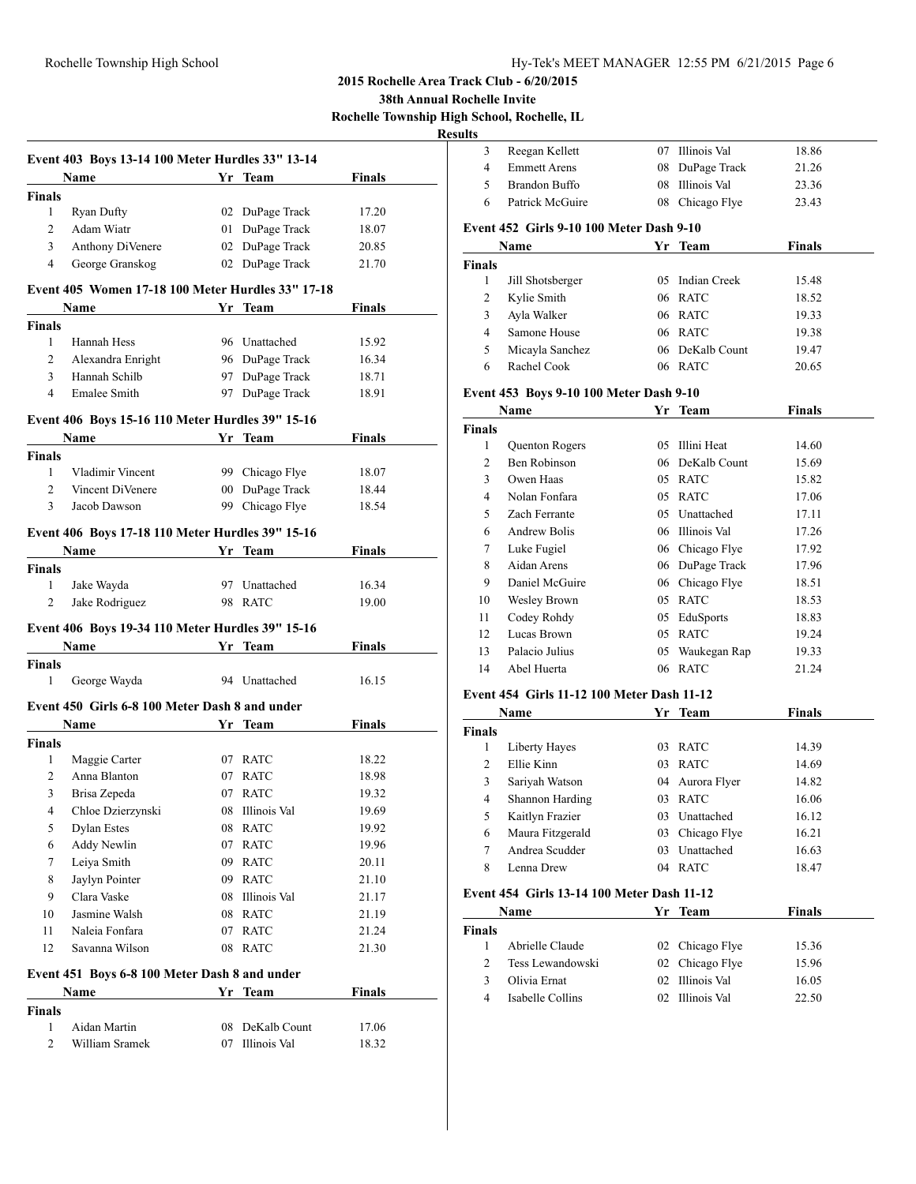**38th Annual Rochelle Invite**

**Rochelle Township High School, Rochelle, IL**

## **Results**

|                        | Event 403 Boys 13-14 100 Meter Hurdles 33" 13-14<br><b>Name</b>                                                                                                                                                               |                         | Yr_Team                | <b>Finals</b> |
|------------------------|-------------------------------------------------------------------------------------------------------------------------------------------------------------------------------------------------------------------------------|-------------------------|------------------------|---------------|
| <b>Finals</b>          |                                                                                                                                                                                                                               |                         |                        |               |
| 1                      | <b>Ryan Dufty</b>                                                                                                                                                                                                             |                         | 02 DuPage Track        | 17.20         |
| $\overline{c}$         | Adam Wiatr                                                                                                                                                                                                                    |                         | 01 DuPage Track        | 18.07         |
| 3                      | Anthony DiVenere                                                                                                                                                                                                              |                         | 02 DuPage Track        | 20.85         |
| 4                      | George Granskog                                                                                                                                                                                                               |                         | 02 DuPage Track        | 21.70         |
|                        | Event 405 Women 17-18 100 Meter Hurdles 33" 17-18                                                                                                                                                                             |                         |                        |               |
|                        | Name and the same state of the state of the state of the state of the state of the state of the state of the state of the state of the state of the state of the state of the state of the state of the state of the state of |                         | Yr Team                | Finals        |
| <b>Finals</b>          |                                                                                                                                                                                                                               |                         |                        |               |
| $\mathbf{1}$           | Hannah Hess                                                                                                                                                                                                                   |                         | 96 Unattached          | 15.92         |
| $\overline{2}$         | Alexandra Enright                                                                                                                                                                                                             |                         | 96 DuPage Track        | 16.34         |
| 3                      | Hannah Schilb                                                                                                                                                                                                                 | 97                      | DuPage Track           | 18.71         |
| $\overline{4}$         | Emalee Smith                                                                                                                                                                                                                  |                         | 97 DuPage Track        | 18.91         |
|                        | Event 406 Boys 15-16 110 Meter Hurdles 39" 15-16                                                                                                                                                                              |                         |                        |               |
|                        | Name                                                                                                                                                                                                                          |                         |                        | Finals        |
| Finals                 |                                                                                                                                                                                                                               |                         |                        |               |
| $\mathbf{1}$           | Vladimir Vincent                                                                                                                                                                                                              |                         | 99 Chicago Flye        | 18.07         |
| $\overline{2}$         | Vincent DiVenere                                                                                                                                                                                                              | $00\,$                  | DuPage Track           | 18.44         |
| 3                      | Jacob Dawson                                                                                                                                                                                                                  | 99                      | Chicago Flye           | 18.54         |
|                        | Event 406 Boys 17-18 110 Meter Hurdles 39" 15-16                                                                                                                                                                              |                         |                        |               |
|                        | Name                                                                                                                                                                                                                          |                         | Yr Team                | <b>Finals</b> |
| <b>Finals</b>          |                                                                                                                                                                                                                               |                         |                        |               |
| 1                      | Jake Wayda                                                                                                                                                                                                                    |                         | 97 Unattached          | 16.34         |
| 2                      | Jake Rodriguez                                                                                                                                                                                                                |                         | 98 RATC                | 19.00         |
|                        |                                                                                                                                                                                                                               |                         |                        |               |
|                        | Event 406 Boys 19-34 110 Meter Hurdles 39" 15-16                                                                                                                                                                              |                         |                        |               |
|                        | Name                                                                                                                                                                                                                          |                         | Yr Team                | <b>Finals</b> |
| <b>Finals</b><br>1     | George Wayda                                                                                                                                                                                                                  |                         | 94 Unattached          | 16.15         |
|                        |                                                                                                                                                                                                                               |                         |                        |               |
|                        | Event 450 Girls 6-8 100 Meter Dash 8 and under                                                                                                                                                                                |                         |                        |               |
|                        | Name                                                                                                                                                                                                                          | <b>Sandbarn</b> Yr Team |                        | Finals        |
| Finals<br>$\mathbf{1}$ | Maggie Carter                                                                                                                                                                                                                 |                         | 07 RATC                | 18.22         |
| $\overline{2}$         | Anna Blanton                                                                                                                                                                                                                  |                         |                        |               |
|                        |                                                                                                                                                                                                                               | 07                      | <b>RATC</b><br>07 RATC | 18.98         |
| 3                      | Brisa Zepeda                                                                                                                                                                                                                  |                         |                        | 19.32         |
| 4                      | Chloe Dzierzynski                                                                                                                                                                                                             | 08                      | Illinois Val           | 19.69         |
| 5                      | <b>Dylan Estes</b>                                                                                                                                                                                                            | 08                      | <b>RATC</b>            | 19.92         |
| 6                      | <b>Addy Newlin</b>                                                                                                                                                                                                            | 07                      | RATC                   | 19.96         |
| 7                      | Leiya Smith                                                                                                                                                                                                                   | 09                      | <b>RATC</b>            | 20.11         |
| 8                      | Jaylyn Pointer                                                                                                                                                                                                                | 09                      | <b>RATC</b>            | 21.10         |
| 9                      | Clara Vaske                                                                                                                                                                                                                   | 08                      | Illinois Val           | 21.17         |
| 10                     | Jasmine Walsh                                                                                                                                                                                                                 | 08                      | <b>RATC</b>            | 21.19         |
| 11                     | Naleia Fonfara                                                                                                                                                                                                                | 07                      | <b>RATC</b>            | 21.24         |
| 12                     | Savanna Wilson                                                                                                                                                                                                                | 08                      | RATC                   | 21.30         |
|                        | Event 451 Boys 6-8 100 Meter Dash 8 and under                                                                                                                                                                                 |                         |                        |               |
|                        | Name                                                                                                                                                                                                                          |                         | Yr Team                | <b>Finals</b> |
| <b>Finals</b>          |                                                                                                                                                                                                                               |                         |                        |               |
|                        |                                                                                                                                                                                                                               |                         |                        |               |
| 1                      | Aidan Martin                                                                                                                                                                                                                  | 08                      | DeKalb Count           | 17.06         |
| 2                      | William Sramek                                                                                                                                                                                                                | 07                      | Illinois Val           | 18.32         |

| 3                                        | Reegan Kellett                             | 07 | Illinois Val        | 18.86         |  |  |  |
|------------------------------------------|--------------------------------------------|----|---------------------|---------------|--|--|--|
| 4                                        | <b>Emmett Arens</b>                        | 08 | DuPage Track        | 21.26         |  |  |  |
| 5                                        | <b>Brandon Buffo</b>                       | 08 | Illinois Val        | 23.36         |  |  |  |
| 6                                        | Patrick McGuire                            |    | 08 Chicago Flye     | 23.43         |  |  |  |
| Event 452 Girls 9-10 100 Meter Dash 9-10 |                                            |    |                     |               |  |  |  |
|                                          | Name                                       |    | Yr Team             | <b>Finals</b> |  |  |  |
| <b>Finals</b>                            |                                            |    |                     |               |  |  |  |
| 1                                        | Jill Shotsberger                           | 05 | <b>Indian Creek</b> | 15.48         |  |  |  |
| 2                                        | Kylie Smith                                | 06 | <b>RATC</b>         | 18.52         |  |  |  |
| 3                                        | Ayla Walker                                |    | 06 RATC             | 19.33         |  |  |  |
| $\overline{4}$                           | Samone House                               |    | 06 RATC             | 19.38         |  |  |  |
| 5                                        | Micayla Sanchez                            | 06 | DeKalb Count        | 19.47         |  |  |  |
| 6                                        | Rachel Cook                                |    | 06 RATC             | 20.65         |  |  |  |
| Event 453 Boys 9-10 100 Meter Dash 9-10  |                                            |    |                     |               |  |  |  |
|                                          | Name                                       |    | Yr Team             | <b>Finals</b> |  |  |  |
| <b>Finals</b>                            |                                            |    |                     |               |  |  |  |
| 1                                        | Quenton Rogers                             |    | 05 Illini Heat      | 14.60         |  |  |  |
| $\overline{c}$                           | <b>Ben Robinson</b>                        |    | 06 DeKalb Count     | 15.69         |  |  |  |
| 3                                        | Owen Haas                                  | 05 | <b>RATC</b>         | 15.82         |  |  |  |
| $\overline{4}$                           | Nolan Fonfara                              | 05 | <b>RATC</b>         | 17.06         |  |  |  |
| 5                                        | Zach Ferrante                              |    | 05 Unattached       | 17.11         |  |  |  |
| 6                                        | <b>Andrew Bolis</b>                        |    | 06 Illinois Val     | 17.26         |  |  |  |
| $\tau$                                   | Luke Fugiel                                |    | 06 Chicago Flye     | 17.92         |  |  |  |
| 8                                        | Aidan Arens                                |    | 06 DuPage Track     | 17.96         |  |  |  |
| 9                                        | Daniel McGuire                             |    | 06 Chicago Flye     | 18.51         |  |  |  |
| 10                                       | Wesley Brown                               |    | 05 RATC             | 18.53         |  |  |  |
| 11                                       | Codey Rohdy                                |    | 05 EduSports        | 18.83         |  |  |  |
| 12                                       | Lucas Brown                                |    | 05 RATC             | 19.24         |  |  |  |
| 13                                       | Palacio Julius                             | 05 | Waukegan Rap        | 19.33         |  |  |  |
| 14                                       | Abel Huerta                                |    | 06 RATC             | 21.24         |  |  |  |
|                                          | Event 454 Girls 11-12 100 Meter Dash 11-12 |    |                     |               |  |  |  |
|                                          | Name                                       |    | Vr Team             | Finale        |  |  |  |

## **Name Yr Team Finals Finals** Liberty Hayes 03 RATC 14.39 Ellie Kinn 03 RATC 14.69 Sariyah Watson 04 Aurora Flyer 14.82 Shannon Harding 03 RATC 16.06 Kaitlyn Frazier 03 Unattached 16.12 Maura Fitzgerald 03 Chicago Flye 16.21 Andrea Scudder 03 Unattached 16.63 8 Lenna Drew 04 RATC 18.47

## **Event 454 Girls 13-14 100 Meter Dash 11-12**

|               | Name             | Yr Team         | Finals |  |
|---------------|------------------|-----------------|--------|--|
| <b>Finals</b> |                  |                 |        |  |
|               | Abrielle Claude  | 02 Chicago Flye | 15.36  |  |
| $2^{\circ}$   | Tess Lewandowski | 02 Chicago Flye | 15.96  |  |
| 3             | Olivia Ernat     | 02 Illinois Val | 16.05  |  |
| 4             | Isabelle Collins | 02 Illinois Val | 22.50  |  |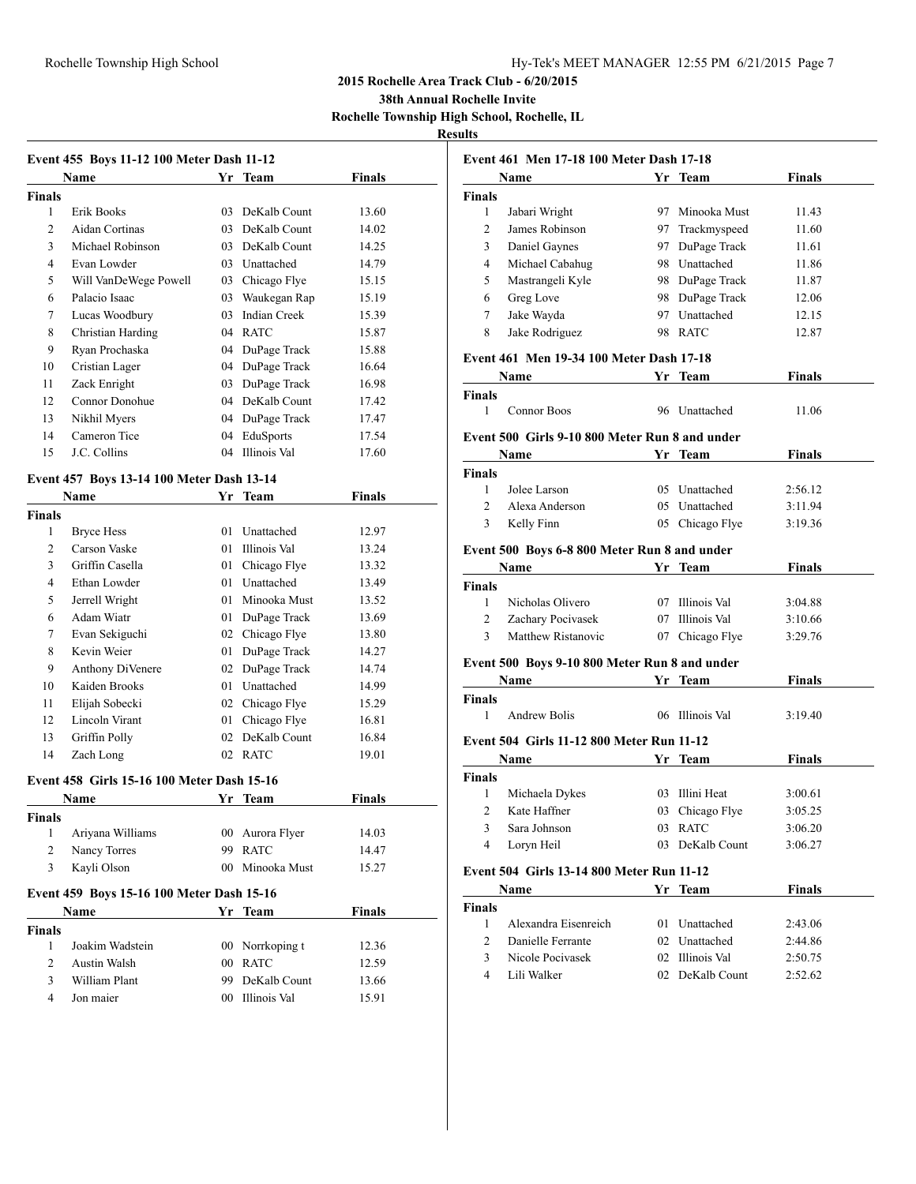#### Rochelle Township High School Hy-Tek's MEET MANAGER 12:55 PM 6/21/2015 Page 7

## **2015 Rochelle Area Track Club - 6/20/2015**

**38th Annual Rochelle Invite**

**Rochelle Township High School, Rochelle, IL**

# **Results**

|                | Name                  |    | Yr Team             | <b>Finals</b> |
|----------------|-----------------------|----|---------------------|---------------|
| Finals         |                       |    |                     |               |
| 1              | Erik Books            | 03 | DeKalb Count        | 13.60         |
| $\mathfrak{D}$ | Aidan Cortinas        | 03 | DeKalb Count        | 14.02         |
| 3              | Michael Robinson      | 03 | DeKalb Count        | 14.25         |
| $\overline{4}$ | Evan Lowder           | 03 | Unattached          | 14.79         |
| 5              | Will VanDeWege Powell | 03 | Chicago Flye        | 15.15         |
| 6              | Palacio Isaac         | 03 | Waukegan Rap        | 15.19         |
| 7              | Lucas Woodbury        | 03 | <b>Indian Creek</b> | 15.39         |
| 8              | Christian Harding     | 04 | <b>RATC</b>         | 15.87         |
| 9              | Ryan Prochaska        | 04 | DuPage Track        | 15.88         |
| 10             | Cristian Lager        | 04 | DuPage Track        | 16.64         |
| 11             | Zack Enright          | 03 | DuPage Track        | 16.98         |
| 12             | Connor Donohue        | 04 | DeKalb Count        | 17.42         |
| 13             | Nikhil Myers          | 04 | DuPage Track        | 17.47         |
| 14             | Cameron Tice          | 04 | EduSports           | 17.54         |
| 15             | J.C. Collins          | 04 | Illinois Val        | 17.60         |

## **Event 457 Boys 13-14 100 Meter Dash 13-14**

|        | Name             | Yr | Team         | Finals |
|--------|------------------|----|--------------|--------|
| Finals |                  |    |              |        |
| 1      | Bryce Hess       | 01 | Unattached   | 12.97  |
| 2      | Carson Vaske     | 01 | Illinois Val | 13.24  |
| 3      | Griffin Casella  | 01 | Chicago Flye | 13.32  |
| 4      | Ethan Lowder     | 01 | Unattached   | 13.49  |
| 5      | Jerrell Wright   | 01 | Minooka Must | 13.52  |
| 6      | Adam Wiatr       | 01 | DuPage Track | 13.69  |
| 7      | Evan Sekiguchi   | 02 | Chicago Flye | 13.80  |
| 8      | Kevin Weier      | 01 | DuPage Track | 14.27  |
| 9      | Anthony DiVenere | 02 | DuPage Track | 14.74  |
| 10     | Kaiden Brooks    | 01 | Unattached   | 14.99  |
| 11     | Elijah Sobecki   | 02 | Chicago Flye | 15.29  |
| 12     | Lincoln Virant   | 01 | Chicago Flye | 16.81  |
| 13     | Griffin Polly    | 02 | DeKalb Count | 16.84  |
| 14     | Zach Long        | 02 | <b>RATC</b>  | 19.01  |
|        |                  |    |              |        |

## **Event 458 Girls 15-16 100 Meter Dash 15-16**

|        | Name                                             |                 | Yr Team         | <b>Finals</b> |  |
|--------|--------------------------------------------------|-----------------|-----------------|---------------|--|
| Finals |                                                  |                 |                 |               |  |
| 1      | Ariyana Williams                                 |                 | 00 Aurora Flyer | 14.03         |  |
| 2      | Nancy Torres                                     | 99              | <b>RATC</b>     | 14.47         |  |
| 3      | Kayli Olson                                      | (00)            | Minooka Must    | 15.27         |  |
|        | <b>Event 459 Boys 15-16 100 Meter Dash 15-16</b> |                 |                 |               |  |
|        | <b>Name</b>                                      |                 | Yr Team         | <b>Finals</b> |  |
| Finals |                                                  |                 |                 |               |  |
| 1      | Joakim Wadstein                                  |                 | 00 Norrkoping t | 12.36         |  |
| 2      | Austin Walsh                                     | 00 <sup>1</sup> | <b>RATC</b>     | 12.59         |  |
| 3      | William Plant                                    | 99              | DeKalb Count    | 13.66         |  |
| 4      | Jon maier                                        | 00 <sup>1</sup> | Illinois Val    | 15.91         |  |
|        |                                                  |                 |                 |               |  |

|                | Event 461 Men 17-18 100 Meter Dash 17-18       |    |                 |               |
|----------------|------------------------------------------------|----|-----------------|---------------|
|                | Name                                           |    | Yr Team         | Finals        |
| <b>Finals</b>  |                                                |    |                 |               |
| 1              | Jabari Wright                                  |    | 97 Minooka Must | 11.43         |
| 2              | James Robinson                                 |    | 97 Trackmyspeed | 11.60         |
| 3              | Daniel Gaynes                                  |    | 97 DuPage Track | 11.61         |
| 4              | Michael Cabahug                                |    | 98 Unattached   | 11.86         |
| 5              | Mastrangeli Kyle                               |    | 98 DuPage Track | 11.87         |
| 6              | Greg Love                                      |    | 98 DuPage Track | 12.06         |
| 7              | Jake Wayda                                     |    | 97 Unattached   | 12.15         |
| 8              | Jake Rodriguez                                 |    | 98 RATC         | 12.87         |
|                | Event 461 Men 19-34 100 Meter Dash 17-18       |    |                 |               |
|                | Name                                           |    | Yr Team         | <b>Finals</b> |
| <b>Finals</b>  |                                                |    |                 |               |
| 1              | <b>Connor Boos</b>                             |    | 96 Unattached   | 11.06         |
|                | Event 500 Girls 9-10 800 Meter Run 8 and under |    |                 |               |
|                | Name                                           |    | Yr Team         | Finals        |
| <b>Finals</b>  |                                                |    |                 |               |
| 1              | Jolee Larson                                   |    | 05 Unattached   | 2:56.12       |
| $\overline{c}$ | Alexa Anderson                                 |    | 05 Unattached   | 3:11.94       |
| 3              | Kelly Finn                                     |    | 05 Chicago Flye | 3:19.36       |
|                | Event 500 Boys 6-8 800 Meter Run 8 and under   |    |                 |               |
|                | Name                                           |    | Yr Team         | <b>Finals</b> |
| <b>Finals</b>  |                                                |    |                 |               |
| 1              | Nicholas Olivero                               |    | 07 Illinois Val | 3:04.88       |
| 2              | Zachary Pocivasek                              |    | 07 Illinois Val | 3:10.66       |
| 3              | <b>Matthew Ristanovic</b>                      |    | 07 Chicago Flye | 3:29.76       |
|                | Event 500 Boys 9-10 800 Meter Run 8 and under  |    |                 |               |
|                | <b>Name</b>                                    |    | Yr Team         | Finals        |
| <b>Finals</b>  |                                                |    |                 |               |
| 1              | Andrew Bolis                                   |    | 06 Illinois Val | 3:19.40       |
|                | Event 504 Girls 11-12 800 Meter Run 11-12      |    |                 |               |
|                | Name                                           | Yr | <b>Team</b>     | Finals        |
| <b>Finals</b>  |                                                |    |                 |               |
| 1              | Michaela Dykes                                 |    | 03 Illini Heat  | 3:00.61       |
| 2              | Kate Haffner                                   |    | 03 Chicago Flye | 3:05.25       |
| 3              | Sara Johnson                                   |    | 03 RATC         | 3:06.20       |
| 4              | Loryn Heil                                     | 03 | DeKalb Count    | 3:06.27       |
|                | Event 504 Girls 13-14 800 Meter Run 11-12      |    |                 |               |
|                | Name                                           |    | Yr Team         | <b>Finals</b> |
| <b>Finals</b>  |                                                |    |                 |               |
| $\mathbf{1}$   | Alexandra Eisenreich                           |    | 01 Unattached   | 2:43.06       |
| $\overline{2}$ | Danielle Ferrante                              |    | 02 Unattached   | 2:44.86       |
| 3              | Nicole Pocivasek                               |    | 02 Illinois Val | 2:50.75       |

Lili Walker 02 DeKalb Count 2:52.62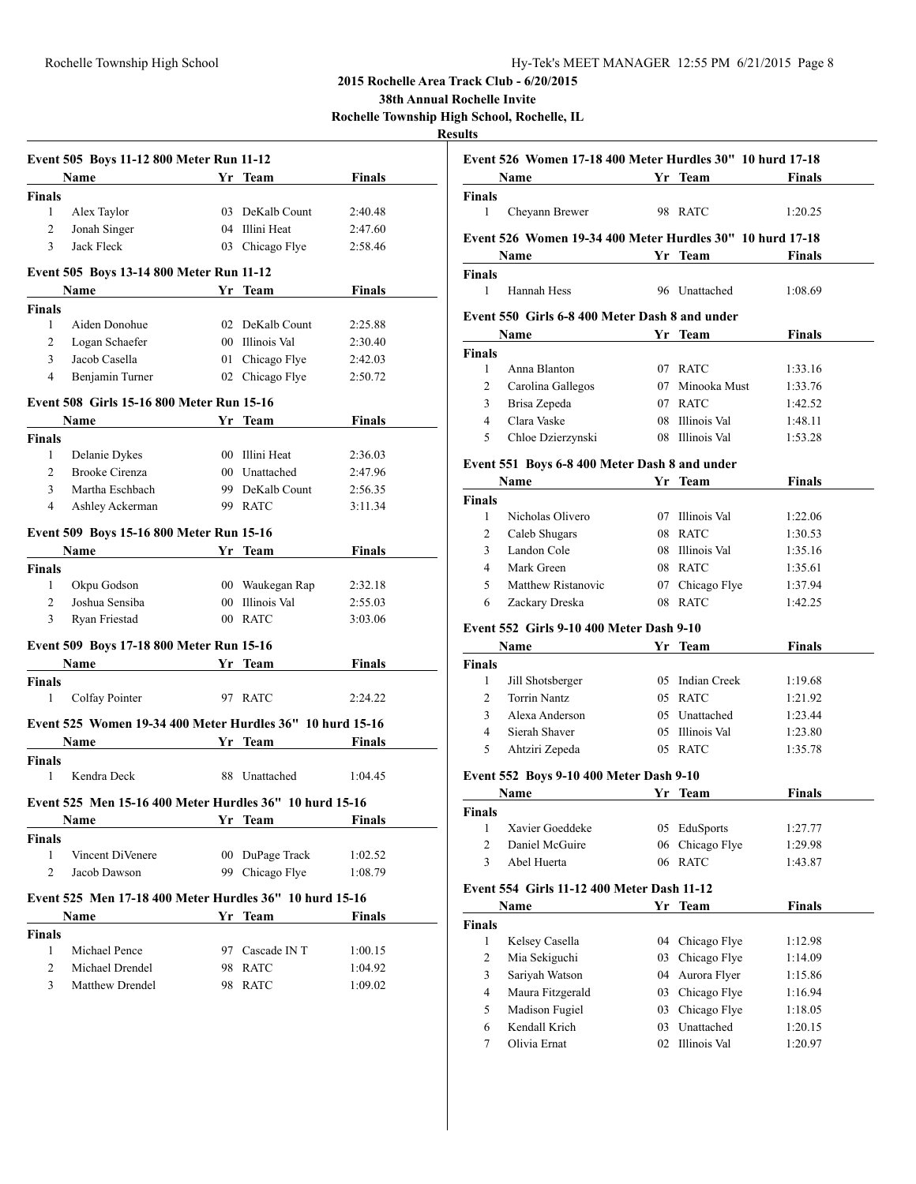**38th Annual Rochelle Invite**

**Rochelle Township High School, Rochelle, IL**

|               | Event 505 Boys 11-12 800 Meter Run 11-12                  |        |                 |               |
|---------------|-----------------------------------------------------------|--------|-----------------|---------------|
|               | <b>Name</b>                                               |        | Yr Team         | <b>Finals</b> |
| Finals        |                                                           |        |                 |               |
| 1             | Alex Taylor                                               | 03     | DeKalb Count    | 2:40.48       |
| 2             | Jonah Singer                                              | 04     | Illini Heat     | 2:47.60       |
| 3             | Jack Fleck                                                |        | 03 Chicago Flye | 2:58.46       |
|               | Event 505 Boys 13-14 800 Meter Run 11-12                  |        |                 |               |
|               | Name                                                      |        | Yr Team         | <b>Finals</b> |
| <b>Finals</b> |                                                           |        |                 |               |
| 1             | Aiden Donohue                                             |        | 02 DeKalb Count | 2:25.88       |
| 2             | Logan Schaefer                                            |        | 00 Illinois Val | 2:30.40       |
| 3             | Jacob Casella                                             | 01     | Chicago Flye    | 2:42.03       |
| 4             | Benjamin Turner                                           |        | 02 Chicago Flye | 2:50.72       |
|               | Event 508 Girls 15-16 800 Meter Run 15-16                 |        |                 |               |
|               | Name                                                      |        | Yr Team         | <b>Finals</b> |
| <b>Finals</b> |                                                           |        |                 |               |
| 1             | Delanie Dykes                                             |        | 00 Illini Heat  | 2:36.03       |
| 2             | <b>Brooke Cirenza</b>                                     |        | 00 Unattached   | 2:47.96       |
| 3             | Martha Eschbach                                           |        | 99 DeKalb Count | 2:56.35       |
| 4             | Ashley Ackerman                                           |        | 99 RATC         | 3:11.34       |
|               | Event 509 Boys 15-16 800 Meter Run 15-16                  |        |                 |               |
|               | <b>Name</b>                                               |        | Yr Team         | <b>Finals</b> |
| <b>Finals</b> |                                                           |        |                 |               |
| 1             | Okpu Godson                                               |        | 00 Waukegan Rap | 2:32.18       |
| 2             | Joshua Sensiba                                            | $00\,$ | Illinois Val    | 2:55.03       |
| 3             | Ryan Friestad                                             |        | 00 RATC         | 3:03.06       |
|               | Event 509 Boys 17-18 800 Meter Run 15-16                  |        |                 |               |
|               | Name                                                      |        | Yr Team         | Finals        |
| <b>Finals</b> |                                                           |        |                 |               |
| 1             | Colfay Pointer                                            |        | 97 RATC         | 2:24.22       |
|               | Event 525 Women 19-34 400 Meter Hurdles 36" 10 hurd 15-16 |        |                 |               |
|               | Name                                                      |        | Yr Team         | <b>Finals</b> |
| <b>Finals</b> |                                                           |        |                 |               |
| 1             | Kendra Deck                                               | 88     | Unattached      | 1:04.45       |
|               | Event 525 Men 15-16 400 Meter Hurdles 36" 10 hurd 15-16   |        |                 |               |
|               | <b>Name</b>                                               |        | <b>Yr</b> Team  | <b>Finals</b> |
| <b>Finals</b> |                                                           |        |                 |               |
| 1             | Vincent DiVenere                                          |        | 00 DuPage Track | 1:02.52       |
| 2             | Jacob Dawson                                              |        | 99 Chicago Flye | 1:08.79       |
|               | Event 525 Men 17-18 400 Meter Hurdles 36" 10 hurd 15-16   |        |                 |               |
|               | Name                                                      |        | Yr Team         | Finals        |
| <b>Finals</b> |                                                           |        |                 |               |
| 1             | Michael Pence                                             |        | 97 Cascade IN T | 1:00.15       |
| 2             | Michael Drendel                                           | 98     | <b>RATC</b>     | 1:04.92       |
| 3             | Matthew Drendel                                           | 98     | <b>RATC</b>     | 1:09.02       |
|               |                                                           |        |                 |               |

|                | Event 526 Women 17-18 400 Meter Hurdles 30" 10 hurd 17-18 |    |                 |               |
|----------------|-----------------------------------------------------------|----|-----------------|---------------|
|                | <b>Name</b>                                               |    | Yr Team         | <b>Finals</b> |
| Finals         |                                                           |    |                 |               |
| 1              | Cheyann Brewer                                            |    | 98 RATC         | 1:20.25       |
|                | Event 526 Women 19-34 400 Meter Hurdles 30" 10 hurd 17-18 |    |                 |               |
|                | Name                                                      |    | Yr Team         | <b>Finals</b> |
| Finals         |                                                           |    |                 |               |
| 1              | Hannah Hess                                               |    | 96 Unattached   | 1:08.69       |
|                | Event 550 Girls 6-8 400 Meter Dash 8 and under            |    |                 |               |
|                | Name                                                      |    | Yr Team         | <b>Finals</b> |
| Finals         |                                                           |    |                 |               |
| 1              | Anna Blanton                                              |    | 07 RATC         | 1:33.16       |
| 2              | Carolina Gallegos                                         |    | 07 Minooka Must | 1:33.76       |
| 3              | Brisa Zepeda                                              |    | 07 RATC         | 1:42.52       |
| $\overline{4}$ | Clara Vaske                                               |    | 08 Illinois Val | 1:48.11       |
| 5              | Chloe Dzierzynski                                         |    | 08 Illinois Val | 1:53.28       |
|                |                                                           |    |                 |               |
|                | Event 551 Boys 6-8 400 Meter Dash 8 and under             |    |                 |               |
|                | Name                                                      |    | Yr Team         | <b>Finals</b> |
| Finals         |                                                           |    |                 |               |
| 1              | Nicholas Olivero                                          |    | 07 Illinois Val | 1:22.06       |
| 2              | Caleb Shugars                                             |    | 08 RATC         | 1:30.53       |
| 3              | Landon Cole                                               |    | 08 Illinois Val | 1:35.16       |
| $\overline{4}$ | Mark Green                                                |    | 08 RATC         | 1:35.61       |
| 5              | Matthew Ristanovic                                        |    | 07 Chicago Flye | 1:37.94       |
| 6              | Zackary Dreska                                            |    | 08 RATC         | 1:42.25       |
|                | Event 552 Girls 9-10 400 Meter Dash 9-10                  |    |                 |               |
|                | Name                                                      |    | Yr Team         | <b>Finals</b> |
| Finals         |                                                           |    |                 |               |
| 1              | Jill Shotsberger                                          |    | 05 Indian Creek | 1:19.68       |
| 2              | <b>Torrin Nantz</b>                                       |    | 05 RATC         | 1:21.92       |
| 3              | Alexa Anderson                                            |    | 05 Unattached   | 1:23.44       |
| 4              | Sierah Shaver                                             |    | 05 Illinois Val | 1:23.80       |
| 5              | Ahtziri Zepeda                                            |    | 05 RATC         | 1:35.78       |
|                |                                                           |    |                 |               |
|                | Event 552 Boys 9-10 400 Meter Dash 9-10                   |    |                 |               |
|                | Name                                                      |    | Yr Team         | <b>Finals</b> |
| Finals         |                                                           |    |                 |               |
| 1              | Xavier Goeddeke                                           | 05 | EduSports       | 1:27.77       |
| $\overline{2}$ | Daniel McGuire                                            | 06 | Chicago Flye    | 1:29.98       |
| 3              | Abel Huerta                                               | 06 | <b>RATC</b>     | 1:43.87       |
|                | Event 554 Girls 11-12 400 Meter Dash 11-12                |    |                 |               |
|                | Name                                                      |    | Yr Team         | <b>Finals</b> |
| Finals         |                                                           |    |                 |               |
| 1              | Kelsey Casella                                            | 04 | Chicago Flye    | 1:12.98       |
| $\mathfrak{2}$ | Mia Sekiguchi                                             | 03 | Chicago Flye    | 1:14.09       |
| $\mathfrak{Z}$ | Sariyah Watson                                            | 04 | Aurora Flyer    | 1:15.86       |
| $\overline{4}$ | Maura Fitzgerald                                          | 03 | Chicago Flye    | 1:16.94       |
| 5              | Madison Fugiel                                            | 03 | Chicago Flye    | 1:18.05       |
| 6              | Kendall Krich                                             | 03 | Unattached      | 1:20.15       |
| 7              | Olivia Ernat                                              | 02 | Illinois Val    | 1:20.97       |
|                |                                                           |    |                 |               |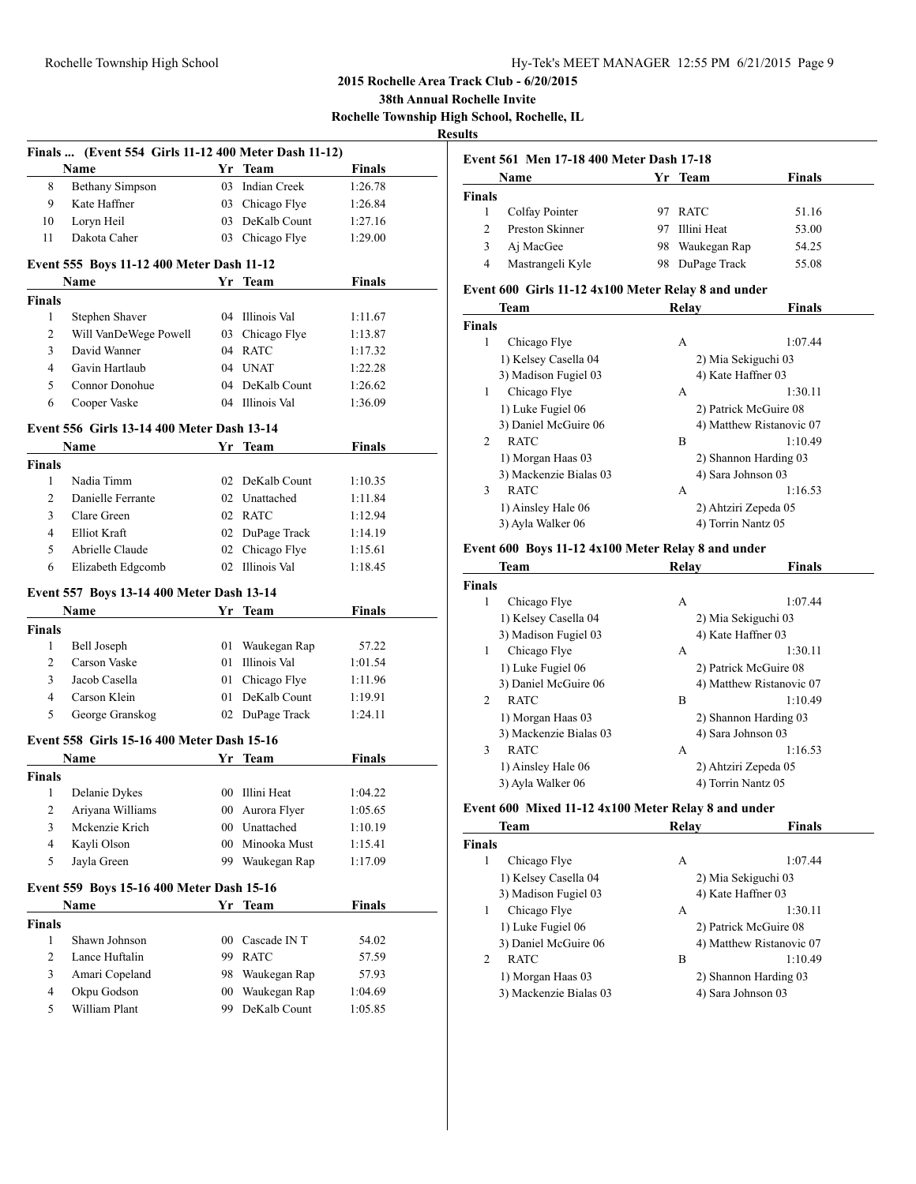**38th Annual Rochelle Invite**

**Rochelle Township High School, Rochelle, IL**

# **Results**

|                         | Finals  (Event 554 Girls 11-12 400 Meter Dash 11-12) |    |                     |                    |
|-------------------------|------------------------------------------------------|----|---------------------|--------------------|
|                         | Name                                                 |    | Yr Team             | <b>Finals</b>      |
| 8                       | <b>Bethany Simpson</b>                               | 03 | <b>Indian Creek</b> | 1:26.78            |
| 9                       | Kate Haffner                                         |    | 03 Chicago Flye     | 1:26.84            |
| 10                      | Loryn Heil                                           |    | 03 DeKalb Count     | 1:27.16            |
| 11                      | Dakota Caher                                         |    | 03 Chicago Flye     | 1:29.00            |
|                         |                                                      |    |                     |                    |
|                         | Event 555 Boys 11-12 400 Meter Dash 11-12            |    |                     |                    |
|                         | Name                                                 |    | Yr Team             | <b>Finals</b>      |
| <b>Finals</b>           |                                                      |    |                     |                    |
| 1                       | Stephen Shaver                                       |    | 04 Illinois Val     | 1:11.67            |
| 2                       | Will VanDeWege Powell                                |    | 03 Chicago Flye     | 1:13.87            |
| 3                       | David Wanner                                         |    | 04 RATC             | 1:17.32            |
| 4                       | Gavin Hartlaub                                       |    | 04 UNAT             | 1:22.28            |
| 5                       | Connor Donohue                                       |    | 04 DeKalb Count     | 1:26.62            |
| 6                       | Cooper Vaske                                         |    | 04 Illinois Val     | 1:36.09            |
|                         | Event 556 Girls 13-14 400 Meter Dash 13-14           |    |                     |                    |
|                         | Name                                                 |    | Yr Team             | <b>Finals</b>      |
| <b>Finals</b>           |                                                      |    |                     |                    |
| 1                       | Nadia Timm                                           |    | 02 DeKalb Count     | 1:10.35            |
| 2                       | Danielle Ferrante                                    |    | 02 Unattached       | 1:11.84            |
| 3                       | Clare Green                                          |    | 02 RATC             | 1:12.94            |
| $\overline{4}$          | Elliot Kraft                                         |    | 02 DuPage Track     | 1:14.19            |
| 5                       | Abrielle Claude                                      |    | 02 Chicago Flye     | 1:15.61            |
| 6                       | Elizabeth Edgcomb                                    |    | 02 Illinois Val     | 1:18.45            |
|                         |                                                      |    |                     |                    |
|                         | Event 557 Boys 13-14 400 Meter Dash 13-14            |    |                     |                    |
|                         | Name                                                 |    | Yr Team             | <b>Finals</b>      |
| <b>Finals</b>           |                                                      |    |                     |                    |
| 1                       | Bell Joseph                                          |    | 01 Waukegan Rap     | 57.22              |
| 2                       | Carson Vaske                                         |    | 01 Illinois Val     | 1:01.54            |
| 3                       | Jacob Casella                                        | 01 | Chicago Flye        | 1:11.96            |
| 4                       | Carson Klein                                         | 01 | DeKalb Count        | 1:19.91            |
| 5                       | George Granskog                                      |    | 02 DuPage Track     | 1:24.11            |
|                         | Event 558 Girls 15-16 400 Meter Dash 15-16           |    |                     |                    |
|                         | Name                                                 |    | Yr Team             | Finals             |
| Finals                  |                                                      |    |                     |                    |
| 1                       | Delanie Dykes                                        |    | 00 Illini Heat      | 1:04.22            |
| $\overline{\mathbf{c}}$ | Ariyana Williams                                     |    | 00 Aurora Flyer     | 1:05.65            |
| 3                       | Mckenzie Krich                                       |    | 00 Unattached       |                    |
| 4                       | Kayli Olson                                          | 00 | Minooka Must        | 1:10.19<br>1:15.41 |
| 5                       | Jayla Green                                          | 99 | Waukegan Rap        |                    |
|                         |                                                      |    |                     | 1:17.09            |
|                         | Event 559 Boys 15-16 400 Meter Dash 15-16            |    |                     |                    |
|                         | Name                                                 |    | Yr Team             | <b>Finals</b>      |
| <b>Finals</b>           |                                                      |    |                     |                    |
| $\mathbf{1}$            | Shawn Johnson                                        | 00 | Cascade IN T        | 54.02              |
| $\overline{c}$          | Lance Huftalin                                       | 99 | <b>RATC</b>         | 57.59              |
| 3                       | Amari Copeland                                       | 98 | Waukegan Rap        | 57.93              |
| 4                       | Okpu Godson                                          | 00 | Waukegan Rap        | 1:04.69            |
| 5                       | William Plant                                        | 99 | DeKalb Count        | 1:05.85            |

|               | Event 561 Men 17-18 400 Meter Dash 17-18 |     |              |        |  |
|---------------|------------------------------------------|-----|--------------|--------|--|
|               | Name                                     |     | Yr Team      | Finals |  |
| <b>Finals</b> |                                          |     |              |        |  |
|               | Colfay Pointer                           |     | <b>RATC</b>  | 51.16  |  |
| $\mathcal{L}$ | Preston Skinner                          |     | Illini Heat  | 53.00  |  |
|               | Aj MacGee                                | 98. | Waukegan Rap | 54.25  |  |
| 4             | Mastrangeli Kyle                         | 98  | DuPage Track | 55.08  |  |

## **Event 600 Girls 11-12 4x100 Meter Relay 8 and under**

|                | Team                   | Relay              | <b>Finals</b>            |
|----------------|------------------------|--------------------|--------------------------|
| <b>Finals</b>  |                        |                    |                          |
| 1              | Chicago Flye           | А                  | 1:07.44                  |
|                | 1) Kelsey Casella 04   |                    | 2) Mia Sekiguchi 03      |
|                | 3) Madison Fugiel 03   | 4) Kate Haffner 03 |                          |
| 1              | Chicago Flye           | A                  | 1:30.11                  |
|                | 1) Luke Fugiel 06      |                    | 2) Patrick McGuire 08    |
|                | 3) Daniel McGuire 06   |                    | 4) Matthew Ristanovic 07 |
| $\mathfrak{D}$ | <b>RATC</b>            | B                  | 1:10.49                  |
|                | 1) Morgan Haas 03      |                    | 2) Shannon Harding 03    |
|                | 3) Mackenzie Bialas 03 | 4) Sara Johnson 03 |                          |
| 3              | <b>RATC</b>            | А                  | 1:16.53                  |
|                | 1) Ainsley Hale 06     |                    | 2) Ahtziri Zepeda 05     |
|                | 3) Ayla Walker 06      | 4) Torrin Nantz 05 |                          |

#### **Event 600 Boys 11-12 4x100 Meter Relay 8 and under**

|                | Team                   | Relav              | Finals                   |
|----------------|------------------------|--------------------|--------------------------|
| <b>Finals</b>  |                        |                    |                          |
| 1              | Chicago Flye           | A                  | 1:07.44                  |
|                | 1) Kelsey Casella 04   |                    | 2) Mia Sekiguchi 03      |
|                | 3) Madison Fugiel 03   | 4) Kate Haffner 03 |                          |
| 1              | Chicago Flye           | A                  | 1:30.11                  |
|                | 1) Luke Fugiel 06      |                    | 2) Patrick McGuire 08    |
|                | 3) Daniel McGuire 06   |                    | 4) Matthew Ristanovic 07 |
| $\mathfrak{D}$ | <b>RATC</b>            | В                  | 1:10.49                  |
|                | 1) Morgan Haas 03      |                    | 2) Shannon Harding 03    |
|                | 3) Mackenzie Bialas 03 | 4) Sara Johnson 03 |                          |
| 3              | <b>RATC</b>            | A                  | 1:16.53                  |
|                | 1) Ainsley Hale 06     |                    | 2) Ahtziri Zepeda 05     |
|                | 3) Ayla Walker 06      | 4) Torrin Nantz 05 |                          |

#### **Event 600 Mixed 11-12 4x100 Meter Relay 8 and under**

| <b>Team</b>                   | Relay | <b>Finals</b>            |
|-------------------------------|-------|--------------------------|
| <b>Finals</b>                 |       |                          |
| Chicago Flye<br>1             | A     | 1:07.44                  |
| 1) Kelsey Casella 04          |       | 2) Mia Sekiguchi 03      |
| 3) Madison Fugiel 03          |       | 4) Kate Haffner 03       |
| Chicago Flye<br>1             | А     | 1:30.11                  |
| 1) Luke Fugiel 06             |       | 2) Patrick McGuire 08    |
| 3) Daniel McGuire 06          |       | 4) Matthew Ristanovic 07 |
| <b>RATC</b><br>$\overline{c}$ | B     | 1:10.49                  |
| 1) Morgan Haas 03             |       | 2) Shannon Harding 03    |
| 3) Mackenzie Bialas 03        |       | 4) Sara Johnson 03       |
|                               |       |                          |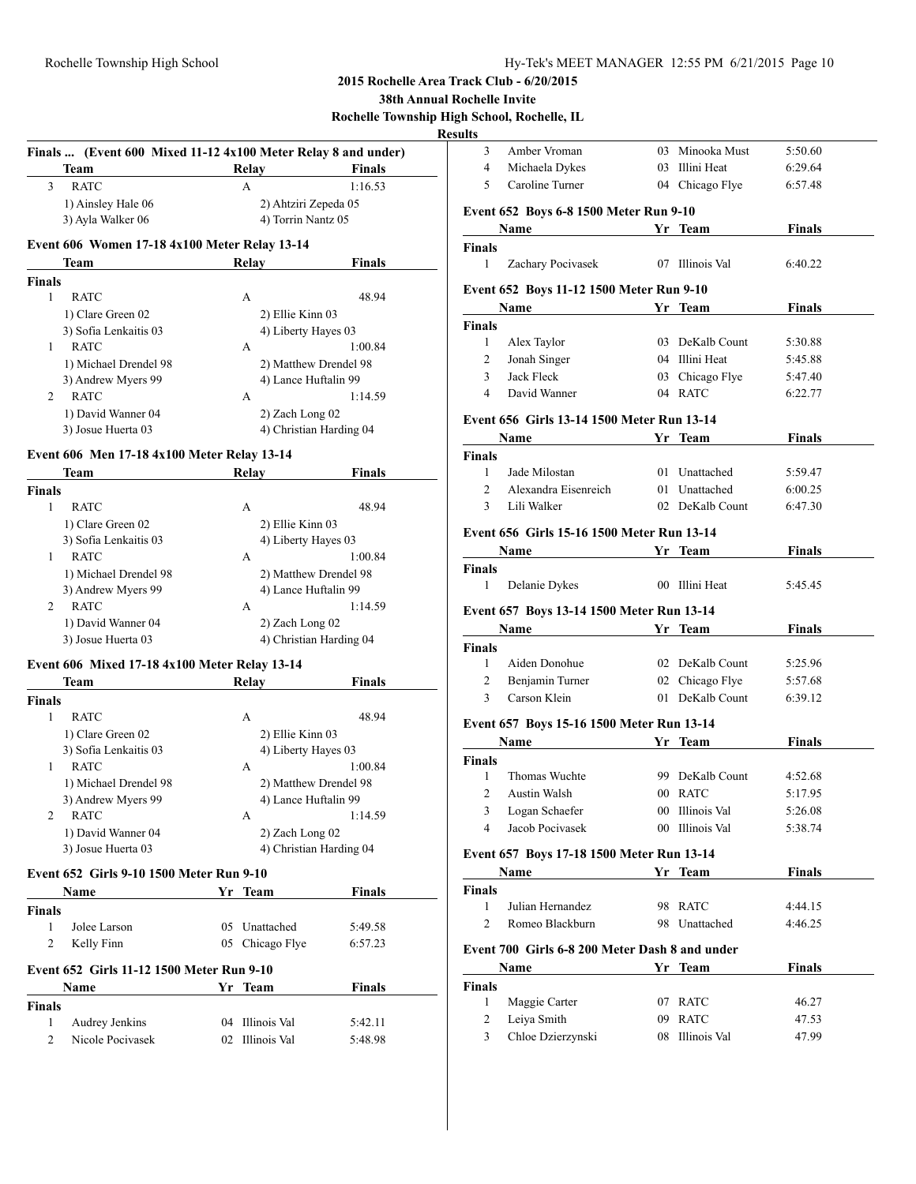#### **3** Sochelle Invite

**Rochelle Township High School, Rochelle, IL**

| Finals  (Event 600 Mixed 11-12 4x100 Meter Relay 8 and under) |                    |                                  |
|---------------------------------------------------------------|--------------------|----------------------------------|
| Team                                                          | <b>Relay</b>       | <b>Finals</b>                    |
| <b>RATC</b><br>3                                              | A                  | 1:16.53                          |
| 1) Ainsley Hale 06                                            |                    | 2) Ahtziri Zepeda 05             |
| 3) Ayla Walker 06                                             | 4) Torrin Nantz 05 |                                  |
| Event 606 Women 17-18 4x100 Meter Relay 13-14                 |                    |                                  |
| Team                                                          | Relay              | <b>Finals</b>                    |
| <b>Finals</b>                                                 |                    |                                  |
| $\mathbf{1}$<br><b>RATC</b>                                   | A                  | 48.94                            |
| 1) Clare Green 02                                             | 2) Ellie Kinn 03   |                                  |
| 3) Sofia Lenkaitis 03                                         |                    | 4) Liberty Hayes 03              |
| <b>RATC</b><br>$\mathbf{1}$                                   | A                  | 1:00.84                          |
| 1) Michael Drendel 98                                         |                    | 2) Matthew Drendel 98            |
| 3) Andrew Myers 99                                            |                    | 4) Lance Huftalin 99             |
| <b>RATC</b><br>$\overline{2}$                                 | A                  | 1:14.59                          |
| 1) David Wanner 04                                            | 2) Zach Long 02    |                                  |
| 3) Josue Huerta 03                                            |                    | 4) Christian Harding 04          |
| Event 606 Men 17-18 4x100 Meter Relay 13-14                   |                    |                                  |
| Team                                                          | Relay              | <b>Finals</b>                    |
| <b>Finals</b>                                                 |                    |                                  |
| $\mathbf{1}$<br><b>RATC</b>                                   | A                  | 48.94                            |
| 1) Clare Green 02                                             | 2) Ellie Kinn 03   |                                  |
| 3) Sofia Lenkaitis 03                                         |                    | 4) Liberty Hayes 03              |
| <b>RATC</b><br>$\mathbf{1}$                                   | A                  | 1:00.84                          |
| 1) Michael Drendel 98                                         |                    | 2) Matthew Drendel 98            |
| 3) Andrew Myers 99                                            |                    | 4) Lance Huftalin 99             |
| <b>RATC</b><br>2                                              | A                  | 1:14.59                          |
| 1) David Wanner 04                                            | 2) Zach Long 02    |                                  |
| 3) Josue Huerta 03                                            |                    | 4) Christian Harding 04          |
| Event 606 Mixed 17-18 4x100 Meter Relay 13-14                 |                    |                                  |
| Team                                                          | Relay              | <b>Finals</b>                    |
| <b>Finals</b>                                                 |                    |                                  |
| 1<br><b>RATC</b>                                              | A                  | 48.94                            |
| 1) Clare Green 02                                             | 2) Ellie Kinn 03   |                                  |
| 3) Sofia Lenkaitis 03<br>1                                    |                    | 4) Liberty Hayes 03              |
| <b>RATC</b><br>1) Michael Drendel 98                          | A                  | 1:00.84<br>2) Matthew Drendel 98 |
| 3) Andrew Myers 99                                            |                    | 4) Lance Huftalin 99             |
| <b>RATC</b><br>2                                              | A                  | 1:14.59                          |
| 1) David Wanner 04                                            | 2) Zach Long 02    |                                  |
| 3) Josue Huerta 03                                            |                    | 4) Christian Harding 04          |
|                                                               |                    |                                  |
| Event 652 Girls 9-10 1500 Meter Run 9-10                      |                    |                                  |
| <b>Name</b>                                                   | Yr Team            | <b>Finals</b>                    |
| <b>Finals</b>                                                 |                    |                                  |
| $\mathbf{1}$<br>Jolee Larson                                  | 05 Unattached      | 5:49.58                          |
| 2<br>Kelly Finn                                               | 05 Chicago Flye    | 6:57.23                          |
| Event 652 Girls 11-12 1500 Meter Run 9-10                     |                    |                                  |
| Name                                                          | Yr Team            | <b>Finals</b>                    |
| <b>Finals</b>                                                 |                    |                                  |
|                                                               |                    |                                  |

2 Nicole Pocivasek 02 Illinois Val 5:48.98

| ılts                          |                                                                                                                                                                                                                               |                            |                    |
|-------------------------------|-------------------------------------------------------------------------------------------------------------------------------------------------------------------------------------------------------------------------------|----------------------------|--------------------|
| 3                             | Amber Vroman                                                                                                                                                                                                                  | 03 Minooka Must            | 5:50.60            |
| 4                             | Michaela Dykes                                                                                                                                                                                                                | 03 Illini Heat             | 6:29.64            |
| 5                             | Caroline Turner                                                                                                                                                                                                               | 04 Chicago Flye            | 6:57.48            |
|                               | Event 652 Boys 6-8 1500 Meter Run 9-10                                                                                                                                                                                        |                            |                    |
|                               | Name                                                                                                                                                                                                                          | Yr Team                    | <b>Finals</b>      |
|                               |                                                                                                                                                                                                                               |                            |                    |
| Finals<br>1                   | Zachary Pocivasek                                                                                                                                                                                                             | 07 Illinois Val            | 6:40.22            |
|                               |                                                                                                                                                                                                                               |                            |                    |
|                               | Event 652 Boys 11-12 1500 Meter Run 9-10                                                                                                                                                                                      |                            |                    |
|                               | <b>Example 18 Yr Team</b><br>Name                                                                                                                                                                                             |                            | <b>Finals</b>      |
| <b>Finals</b>                 |                                                                                                                                                                                                                               |                            |                    |
| $\mathbf{1}$                  | Alex Taylor                                                                                                                                                                                                                   | 03 DeKalb Count            | 5:30.88            |
| $\overline{2}$                | Jonah Singer                                                                                                                                                                                                                  | 04 Illini Heat             | 5:45.88            |
| 3                             | Jack Fleck                                                                                                                                                                                                                    | 03 Chicago Flye            | 5:47.40            |
| 4                             | David Wanner                                                                                                                                                                                                                  | 04 RATC                    | 6:22.77            |
|                               | Event 656 Girls 13-14 1500 Meter Run 13-14                                                                                                                                                                                    |                            |                    |
|                               | Name and the same state of the state of the state of the state of the state of the state of the state of the state of the state of the state of the state of the state of the state of the state of the state of the state of | Yr Team                    | Finals             |
| Finals                        |                                                                                                                                                                                                                               |                            |                    |
| 1                             | Jade Milostan                                                                                                                                                                                                                 | 01 Unattached              | 5:59.47            |
| $\overline{2}$                | Alexandra Eisenreich                                                                                                                                                                                                          | 01 Unattached              | 6:00.25            |
| 3                             | Lili Walker                                                                                                                                                                                                                   | 02 DeKalb Count            | 6:47.30            |
|                               |                                                                                                                                                                                                                               |                            |                    |
|                               | Event 656 Girls 15-16 1500 Meter Run 13-14                                                                                                                                                                                    |                            |                    |
|                               | Name                                                                                                                                                                                                                          | Yr Team                    | <b>Finals</b>      |
| <b>Finals</b><br>$\mathbf{1}$ |                                                                                                                                                                                                                               |                            |                    |
|                               | Delanie Dykes                                                                                                                                                                                                                 | 00 Illini Heat             | 5:45.45            |
|                               |                                                                                                                                                                                                                               |                            |                    |
|                               | <b>Event 657 Boys 13-14 1500 Meter Run 13-14</b>                                                                                                                                                                              |                            |                    |
|                               | <b>Name</b>                                                                                                                                                                                                                   | Yr Team                    | <b>Finals</b>      |
| Finals                        |                                                                                                                                                                                                                               |                            |                    |
| $\mathbf{1}$                  | Aiden Donohue                                                                                                                                                                                                                 | 02 DeKalb Count            | 5:25.96            |
| 2                             | Benjamin Turner                                                                                                                                                                                                               | 02 Chicago Flye            | 5:57.68            |
| 3                             | Carson Klein                                                                                                                                                                                                                  | 01 DeKalb Count            | 6:39.12            |
|                               |                                                                                                                                                                                                                               |                            |                    |
|                               | Event 657 Boys 15-16 1500 Meter Run 13-14<br><b>Name</b>                                                                                                                                                                      |                            |                    |
|                               |                                                                                                                                                                                                                               | Yr Team                    | Finals             |
| Finals<br>1                   | Thomas Wuchte                                                                                                                                                                                                                 | 99 DeKalb Count            | 4:52.68            |
| 2                             |                                                                                                                                                                                                                               |                            |                    |
| 3                             | Austin Walsh<br>Logan Schaefer                                                                                                                                                                                                | 00 RATC<br>00 Illinois Val | 5:17.95<br>5:26.08 |
| 4                             | Jacob Pocivasek                                                                                                                                                                                                               | 00 Illinois Val            | 5:38.74            |
|                               |                                                                                                                                                                                                                               |                            |                    |
|                               | Event 657 Boys 17-18 1500 Meter Run 13-14                                                                                                                                                                                     |                            |                    |
|                               | Name                                                                                                                                                                                                                          | Yr Team                    | <b>Finals</b>      |
| <b>Finals</b>                 |                                                                                                                                                                                                                               |                            |                    |
| 1                             | Julian Hernandez                                                                                                                                                                                                              | 98 RATC                    | 4:44.15            |
| 2                             | Romeo Blackburn                                                                                                                                                                                                               | 98 Unattached              | 4:46.25            |
|                               | Event 700 Girls 6-8 200 Meter Dash 8 and under                                                                                                                                                                                |                            |                    |
|                               | Name                                                                                                                                                                                                                          | Yr Team                    | Finals             |
| Finals                        |                                                                                                                                                                                                                               |                            |                    |
| 1                             | Maggie Carter                                                                                                                                                                                                                 | 07 RATC                    | 46.27              |
| 2                             | Leiya Smith                                                                                                                                                                                                                   | 09 RATC                    | 47.53              |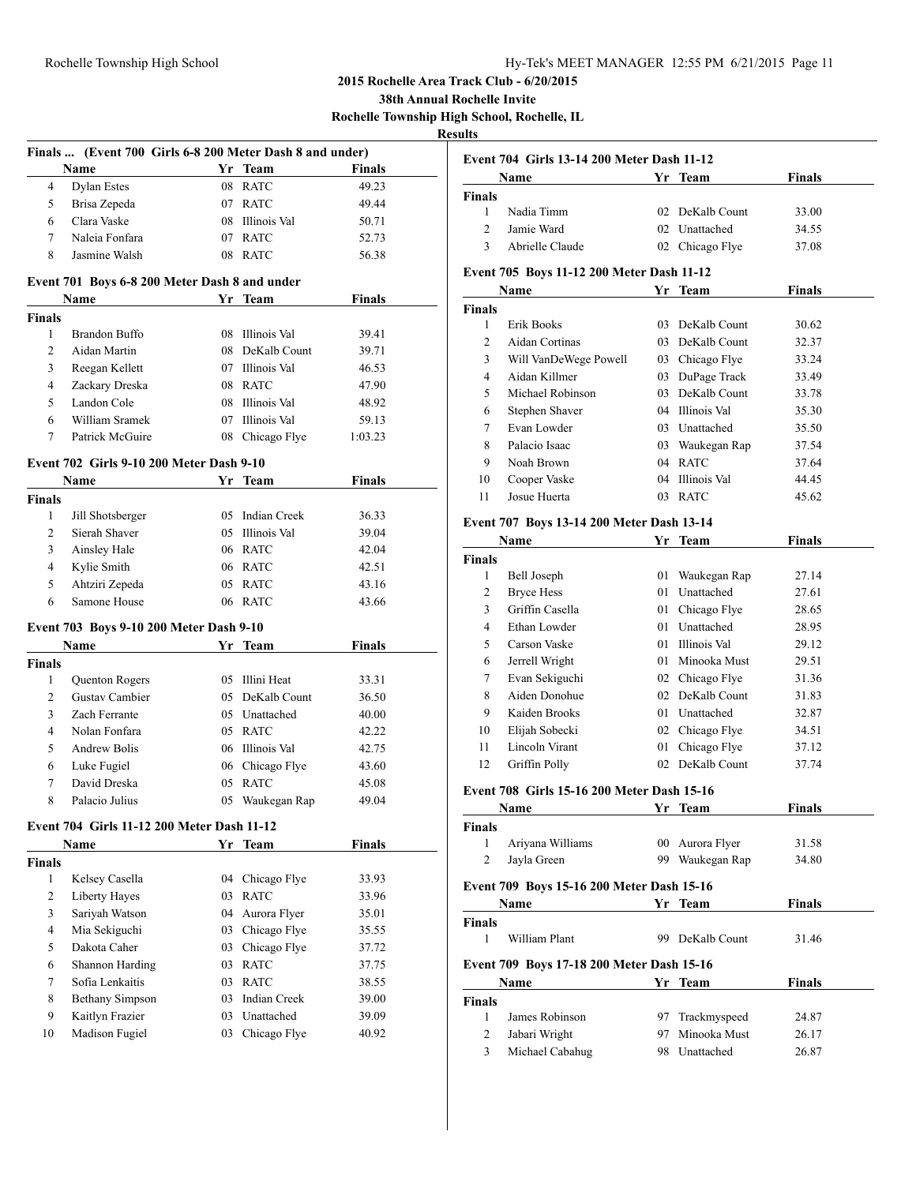**38th Annual Rochelle Invite Rochelle Township High School, Rochelle, IL**

|               | Finals  (Event 700 Girls 6-8 200 Meter Dash 8 and under) |    |                     |               |  |
|---------------|----------------------------------------------------------|----|---------------------|---------------|--|
|               | Name                                                     |    | Yr Team             | <b>Finals</b> |  |
| 4             | <b>Dylan Estes</b>                                       | 08 | <b>RATC</b>         | 49.23         |  |
| 5             | Brisa Zepeda                                             |    | 07 RATC             | 49.44         |  |
| 6             | Clara Vaske                                              |    | 08 Illinois Val     | 50.71         |  |
| 7             | Naleia Fonfara                                           |    | 07 RATC             | 52.73         |  |
| 8             | Jasmine Walsh                                            |    | 08 RATC             | 56.38         |  |
|               | Event 701 Boys 6-8 200 Meter Dash 8 and under            |    |                     |               |  |
|               | Name                                                     |    | Yr Team             | <b>Finals</b> |  |
| <b>Finals</b> |                                                          |    |                     |               |  |
| 1             | <b>Brandon Buffo</b>                                     |    | 08 Illinois Val     | 39.41         |  |
| 2             | Aidan Martin                                             |    | 08 DeKalb Count     | 39.71         |  |
| 3             | Reegan Kellett                                           |    | 07 Illinois Val     | 46.53         |  |
| 4             | Zackary Dreska                                           |    | 08 RATC             | 47.90         |  |
| 5             | Landon Cole                                              |    | 08 Illinois Val     | 48.92         |  |
| 6             | William Sramek                                           |    | 07 Illinois Val     | 59.13         |  |
| 7             | Patrick McGuire                                          |    | 08 Chicago Flye     | 1:03.23       |  |
|               | <b>Event 702 Girls 9-10 200 Meter Dash 9-10</b>          |    |                     |               |  |
|               | Name                                                     |    | Yr Team             | <b>Finals</b> |  |
| <b>Finals</b> |                                                          |    |                     |               |  |
| 1             | Jill Shotsberger                                         |    | 05 Indian Creek     | 36.33         |  |
| 2             | Sierah Shaver                                            |    | 05 Illinois Val     | 39.04         |  |
| 3             | Ainsley Hale                                             |    | 06 RATC             | 42.04         |  |
| 4             | Kylie Smith                                              |    | 06 RATC             | 42.51         |  |
| 5             | Ahtziri Zepeda                                           |    | 05 RATC             | 43.16         |  |
| 6             | Samone House                                             |    | 06 RATC             | 43.66         |  |
|               |                                                          |    |                     |               |  |
|               | Event 703 Boys 9-10 200 Meter Dash 9-10                  |    |                     |               |  |
|               | Name                                                     |    | Yr Team             | <b>Finals</b> |  |
| <b>Finals</b> |                                                          |    |                     |               |  |
| 1             | Quenton Rogers                                           |    | 05 Illini Heat      | 33.31         |  |
| 2             | Gustav Cambier                                           |    | 05 DeKalb Count     | 36.50         |  |
| 3             | Zach Ferrante                                            |    | 05 Unattached       | 40.00         |  |
| 4             | Nolan Fonfara                                            |    | 05 RATC             | 42.22         |  |
| 5             | <b>Andrew Bolis</b>                                      |    | 06 Illinois Val     | 42.75         |  |
| 6             | Luke Fugiel                                              |    | 06 Chicago Flye     | 43.60         |  |
| 7             | David Dreska                                             |    | 05 RATC             | 45.08         |  |
| 8             | Palacio Julius                                           |    | 05 Waukegan Rap     | 49.04         |  |
|               | Event 704 Girls 11-12 200 Meter Dash 11-12               |    |                     |               |  |
|               | <b>Name</b>                                              |    | Yr Team             | Finals        |  |
| <b>Finals</b> |                                                          |    |                     |               |  |
| 1             | Kelsey Casella                                           | 04 | Chicago Flye        | 33.93         |  |
| 2             | Liberty Hayes                                            | 03 | <b>RATC</b>         | 33.96         |  |
| 3             | Sariyah Watson                                           | 04 | Aurora Flyer        | 35.01         |  |
| 4             | Mia Sekiguchi                                            | 03 | Chicago Flye        | 35.55         |  |
| 5             | Dakota Caher                                             | 03 | Chicago Flye        | 37.72         |  |
| 6             | Shannon Harding                                          | 03 | <b>RATC</b>         | 37.75         |  |
| 7             | Sofia Lenkaitis                                          | 03 | <b>RATC</b>         | 38.55         |  |
| 8             | <b>Bethany Simpson</b>                                   | 03 | <b>Indian Creek</b> | 39.00         |  |
| 9             | Kaitlyn Frazier                                          | 03 | Unattached          | 39.09         |  |
| 10            | Madison Fugiel                                           | 03 | Chicago Flye        | 40.92         |  |
|               |                                                          |    |                     |               |  |

|                | <b>Event 704 Girls 13-14 200 Meter Dash 11-12</b> |    |                 |               |
|----------------|---------------------------------------------------|----|-----------------|---------------|
|                | Name                                              |    | Yr Team         | <b>Finals</b> |
| <b>Finals</b>  |                                                   |    |                 |               |
| 1              | Nadia Timm                                        |    | 02 DeKalb Count | 33.00         |
| 2              | Jamie Ward                                        |    | 02 Unattached   | 34.55         |
| 3              | Abrielle Claude                                   |    | 02 Chicago Flye | 37.08         |
|                | Event 705 Boys 11-12 200 Meter Dash 11-12         |    |                 |               |
|                | Name                                              |    | Yr Team         | Finals        |
| Finals         |                                                   |    |                 |               |
| 1              | Erik Books                                        |    | 03 DeKalb Count | 30.62         |
| 2              | Aidan Cortinas                                    |    | 03 DeKalb Count | 32.37         |
| 3              | Will VanDeWege Powell                             |    | 03 Chicago Flye | 33.24         |
| $\overline{4}$ | Aidan Killmer                                     |    | 03 DuPage Track | 33.49         |
| 5              | Michael Robinson                                  |    | 03 DeKalb Count | 33.78         |
| 6              | Stephen Shaver                                    |    | 04 Illinois Val | 35.30         |
| 7              | Evan Lowder                                       |    | 03 Unattached   | 35.50         |
| 8              | Palacio Isaac                                     |    | 03 Waukegan Rap | 37.54         |
| 9              | Noah Brown                                        |    | 04 RATC         | 37.64         |
| 10             | Cooper Vaske                                      |    | 04 Illinois Val | 44.45         |
| 11             | Josue Huerta                                      |    | 03 RATC         | 45.62         |
|                | Event 707 Boys 13-14 200 Meter Dash 13-14         |    |                 |               |
|                | Name                                              |    | Yr Team         | <b>Finals</b> |
| <b>Finals</b>  |                                                   |    |                 |               |
| 1              | Bell Joseph                                       | 01 | Waukegan Rap    | 27.14         |
| 2              | Bryce Hess                                        |    | 01 Unattached   | 27.61         |
| 3              | Griffin Casella                                   |    | 01 Chicago Flye | 28.65         |
| $\overline{4}$ | Ethan Lowder                                      |    | 01 Unattached   | 28.95         |
| 5              | Carson Vaske                                      |    | 01 Illinois Val | 29.12         |
| 6              | Jerrell Wright                                    |    | 01 Minooka Must | 29.51         |
| 7              | Evan Sekiguchi                                    |    | 02 Chicago Flye | 31.36         |
| 8              | Aiden Donohue                                     |    | 02 DeKalb Count | 31.83         |
| 9              | Kaiden Brooks                                     |    | 01 Unattached   | 32.87         |
| 10             | Elijah Sobecki                                    |    | 02 Chicago Flye | 34.51         |
| 11             | Lincoln Virant                                    | 01 | Chicago Flye    | 37.12         |
| 12             | Griffin Polly                                     |    | 02 DeKalb Count | 37.74         |
|                | <b>Event 708 Girls 15-16 200 Meter Dash 15-16</b> |    |                 |               |
|                | Name                                              |    | <u>Yr Team</u>  | Finals        |
| <b>Finals</b>  |                                                   |    |                 |               |
| 1              | Ariyana Williams                                  |    | 00 Aurora Flyer | 31.58         |
| 2              | Jayla Green                                       |    | 99 Waukegan Rap | 34.80         |
|                | Event 709 Boys 15-16 200 Meter Dash 15-16         |    |                 |               |
|                | Name                                              | Yr | <b>Team</b>     | <b>Finals</b> |
| <b>Finals</b>  |                                                   |    |                 |               |
| 1              | William Plant                                     | 99 | DeKalb Count    | 31.46         |
|                | Event 709 Boys 17-18 200 Meter Dash 15-16         |    |                 |               |
|                | Name                                              |    | Yr Team         | <b>Finals</b> |
| <b>Finals</b>  |                                                   |    |                 |               |
| $\mathbf{1}$   | James Robinson                                    | 97 | Trackmyspeed    | 24.87         |
| 2              | Jabari Wright                                     | 97 | Minooka Must    | 26.17         |
| 3              | Michael Cabahug                                   |    | 98 Unattached   | 26.87         |